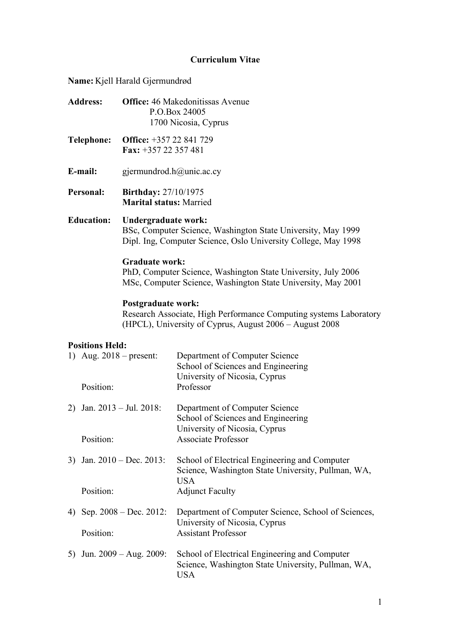# **Curriculum Vitae**

**Name:** Kjell Harald Gjermundrød

|                                                                  | <b>Address:</b>              |                                                                                                                                                       | <b>Office:</b> 46 Makedonitissas Avenue<br>P.O.Box 24005<br>1700 Nicosia, Cyprus                                                    |  |
|------------------------------------------------------------------|------------------------------|-------------------------------------------------------------------------------------------------------------------------------------------------------|-------------------------------------------------------------------------------------------------------------------------------------|--|
|                                                                  | <b>Telephone:</b>            | Office: +357 22 841 729<br>Fax: +357 22 357 481                                                                                                       |                                                                                                                                     |  |
|                                                                  | E-mail:                      | gjermundrod.h@unic.ac.cy                                                                                                                              |                                                                                                                                     |  |
| Personal:                                                        |                              | <b>Birthday: 27/10/1975</b><br><b>Marital status: Married</b>                                                                                         |                                                                                                                                     |  |
| <b>Education:</b>                                                |                              | Undergraduate work:<br>BSc, Computer Science, Washington State University, May 1999<br>Dipl. Ing, Computer Science, Oslo University College, May 1998 |                                                                                                                                     |  |
|                                                                  |                              | <b>Graduate work:</b>                                                                                                                                 | PhD, Computer Science, Washington State University, July 2006<br>MSc, Computer Science, Washington State University, May 2001       |  |
| Postgraduate work:                                               |                              |                                                                                                                                                       | Research Associate, High Performance Computing systems Laboratory<br>(HPCL), University of Cyprus, August 2006 – August 2008        |  |
| <b>Positions Held:</b><br>1) Aug. $2018$ – present:<br>Position: |                              |                                                                                                                                                       | Department of Computer Science<br>School of Sciences and Engineering<br>University of Nicosia, Cyprus<br>Professor                  |  |
|                                                                  | Position:                    | 2) Jan. $2013 - \text{Jul. } 2018$ :                                                                                                                  | Department of Computer Science<br>School of Sciences and Engineering<br>University of Nicosia, Cyprus<br><b>Associate Professor</b> |  |
|                                                                  | 3) Jan. $2010 - Dec. 2013$ : |                                                                                                                                                       | School of Electrical Engineering and Computer<br>Science, Washington State University, Pullman, WA,<br><b>USA</b>                   |  |
|                                                                  | Position:                    |                                                                                                                                                       | <b>Adjunct Faculty</b>                                                                                                              |  |
| 4)                                                               | Position:                    | Sep. $2008 - Dec. 2012$ :                                                                                                                             | Department of Computer Science, School of Sciences,<br>University of Nicosia, Cyprus<br><b>Assistant Professor</b>                  |  |
| Jun. $2009 - Aug. 2009$ :<br>5)                                  |                              |                                                                                                                                                       | School of Electrical Engineering and Computer<br>Science, Washington State University, Pullman, WA,<br><b>USA</b>                   |  |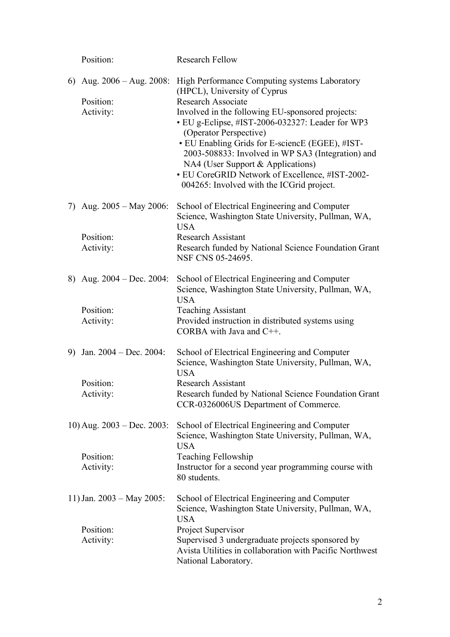|    | Position:                                                      | <b>Research Fellow</b>                                                                                                                                                                                                                                                                                                                                                                                                                                                                    |
|----|----------------------------------------------------------------|-------------------------------------------------------------------------------------------------------------------------------------------------------------------------------------------------------------------------------------------------------------------------------------------------------------------------------------------------------------------------------------------------------------------------------------------------------------------------------------------|
|    | 6) Aug. $2006 - \text{Aug. } 2008$ :<br>Position:<br>Activity: | High Performance Computing systems Laboratory<br>(HPCL), University of Cyprus<br><b>Research Associate</b><br>Involved in the following EU-sponsored projects:<br>• EU g-Eclipse, #IST-2006-032327: Leader for WP3<br>(Operator Perspective)<br>• EU Enabling Grids for E-sciencE (EGEE), #IST-<br>2003-508833: Involved in WP SA3 (Integration) and<br>NA4 (User Support & Applications)<br>• EU CoreGRID Network of Excellence, #IST-2002-<br>004265: Involved with the ICGrid project. |
|    | 7) Aug. $2005 - May 2006$ :<br>Position:<br>Activity:          | School of Electrical Engineering and Computer<br>Science, Washington State University, Pullman, WA,<br><b>USA</b><br><b>Research Assistant</b><br>Research funded by National Science Foundation Grant<br>NSF CNS 05-24695.                                                                                                                                                                                                                                                               |
|    | 8) Aug. $2004 - Dec. 2004$ :<br>Position:<br>Activity:         | School of Electrical Engineering and Computer<br>Science, Washington State University, Pullman, WA,<br><b>USA</b><br><b>Teaching Assistant</b><br>Provided instruction in distributed systems using<br>CORBA with Java and $C++$ .                                                                                                                                                                                                                                                        |
| 9) | Jan. $2004 - Dec. 2004$ :<br>Position:<br>Activity:            | School of Electrical Engineering and Computer<br>Science, Washington State University, Pullman, WA,<br><b>USA</b><br><b>Research Assistant</b><br>Research funded by National Science Foundation Grant<br>CCR-0326006US Department of Commerce.                                                                                                                                                                                                                                           |
|    | 10) Aug. $2003 - Dec. 2003$ :<br>Position:<br>Activity:        | School of Electrical Engineering and Computer<br>Science, Washington State University, Pullman, WA,<br><b>USA</b><br><b>Teaching Fellowship</b><br>Instructor for a second year programming course with<br>80 students.                                                                                                                                                                                                                                                                   |
|    | 11) Jan. $2003 - May 2005$ :<br>Position:<br>Activity:         | School of Electrical Engineering and Computer<br>Science, Washington State University, Pullman, WA,<br><b>USA</b><br>Project Supervisor<br>Supervised 3 undergraduate projects sponsored by<br>Avista Utilities in collaboration with Pacific Northwest<br>National Laboratory.                                                                                                                                                                                                           |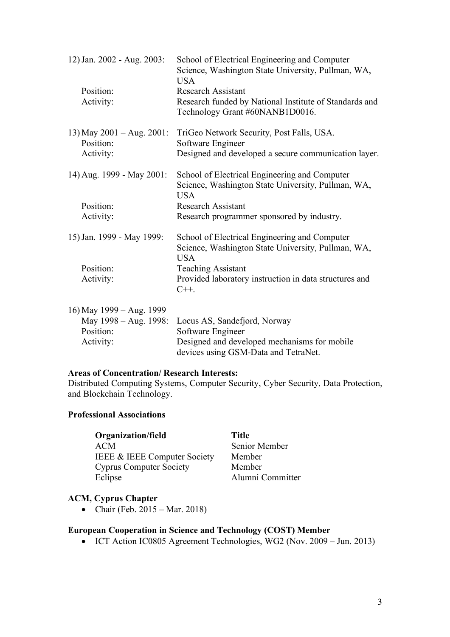| 12) Jan. 2002 - Aug. 2003:         | School of Electrical Engineering and Computer<br>Science, Washington State University, Pullman, WA,<br><b>USA</b> |
|------------------------------------|-------------------------------------------------------------------------------------------------------------------|
| Position:                          | <b>Research Assistant</b>                                                                                         |
| Activity:                          | Research funded by National Institute of Standards and<br>Technology Grant #60NANB1D0016.                         |
| 13) May $2001 - Aug. 2001$ :       | TriGeo Network Security, Post Falls, USA.                                                                         |
| Position:                          | Software Engineer                                                                                                 |
| Activity:                          | Designed and developed a secure communication layer.                                                              |
| 14) Aug. 1999 - May 2001:          | School of Electrical Engineering and Computer                                                                     |
|                                    | Science, Washington State University, Pullman, WA,<br><b>USA</b>                                                  |
| Position:                          | <b>Research Assistant</b>                                                                                         |
| Activity:                          | Research programmer sponsored by industry.                                                                        |
| 15) Jan. 1999 - May 1999:          | School of Electrical Engineering and Computer<br>Science, Washington State University, Pullman, WA,               |
|                                    | <b>USA</b>                                                                                                        |
| Position:                          | <b>Teaching Assistant</b>                                                                                         |
| Activity:                          | Provided laboratory instruction in data structures and<br>$C++$ .                                                 |
|                                    |                                                                                                                   |
| 16) May 1999 - Aug. 1999           |                                                                                                                   |
| May 1998 – Aug. 1998:<br>Position: | Locus AS, Sandefjord, Norway                                                                                      |
| Activity:                          | Software Engineer<br>Designed and developed mechanisms for mobile                                                 |
|                                    | devices using GSM-Data and TetraNet.                                                                              |

### **Areas of Concentration/ Research Interests:**

Distributed Computing Systems, Computer Security, Cyber Security, Data Protection, and Blockchain Technology.

#### **Professional Associations**

**Organization/field** Title ACM Senior Member IEEE & IEEE Computer Society Member Cyprus Computer Society Member

Alumni Committer

### **ACM, Cyprus Chapter**

• Chair (Feb.  $2015 - \text{Mar. } 2018$ )

# **European Cooperation in Science and Technology (COST) Member**

• ICT Action IC0805 Agreement Technologies, WG2 (Nov. 2009 – Jun. 2013)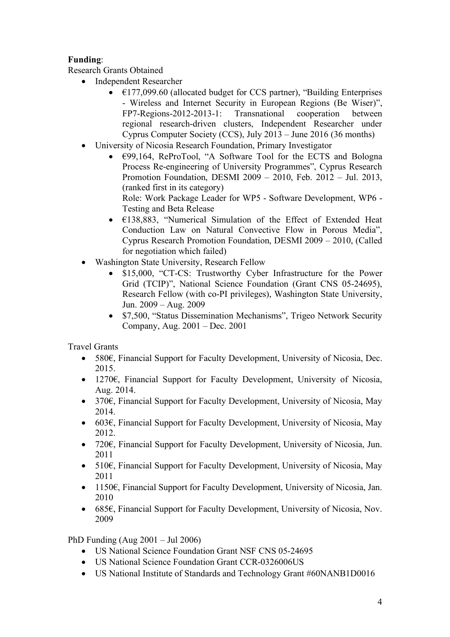# **Funding**:

Research Grants Obtained

- Independent Researcher
	- $\epsilon$ 177,099.60 (allocated budget for CCS partner), "Building Enterprises - Wireless and Internet Security in European Regions (Be Wiser)", FP7-Regions-2012-2013-1: Transnational cooperation between regional research-driven clusters, Independent Researcher under Cyprus Computer Society (CCS), July 2013 – June 2016 (36 months)
- University of Nicosia Research Foundation, Primary Investigator
	- $\epsilon$ 99,164, ReProTool, "A Software Tool for the ECTS and Bologna Process Re-engineering of University Programmes", Cyprus Research Promotion Foundation, DESMI 2009 – 2010, Feb. 2012 – Jul. 2013, (ranked first in its category)

Role: Work Package Leader for WP5 - Software Development, WP6 - Testing and Beta Release

- €138,883, "Numerical Simulation of the Effect of Extended Heat Conduction Law on Natural Convective Flow in Porous Media", Cyprus Research Promotion Foundation, DESMI 2009 – 2010, (Called for negotiation which failed)
- Washington State University, Research Fellow
	- \$15,000, "CT-CS: Trustworthy Cyber Infrastructure for the Power Grid (TCIP)", National Science Foundation (Grant CNS 05-24695), Research Fellow (with co-PI privileges), Washington State University, Jun. 2009 – Aug. 2009
	- \$7,500, "Status Dissemination Mechanisms", Trigeo Network Security Company, Aug. 2001 – Dec. 2001

Travel Grants

- 580€, Financial Support for Faculty Development, University of Nicosia, Dec. 2015.
- 1270€, Financial Support for Faculty Development, University of Nicosia, Aug. 2014.
- 370€, Financial Support for Faculty Development, University of Nicosia, May 2014.
- 603€, Financial Support for Faculty Development, University of Nicosia, May 2012.
- 720€, Financial Support for Faculty Development, University of Nicosia, Jun. 2011
- 510€, Financial Support for Faculty Development, University of Nicosia, May 2011
- 1150€, Financial Support for Faculty Development, University of Nicosia, Jan. 2010
- 685€, Financial Support for Faculty Development, University of Nicosia, Nov. 2009

PhD Funding (Aug 2001 – Jul 2006)

- US National Science Foundation Grant NSF CNS 05-24695
- US National Science Foundation Grant CCR-0326006US
- US National Institute of Standards and Technology Grant #60NANB1D0016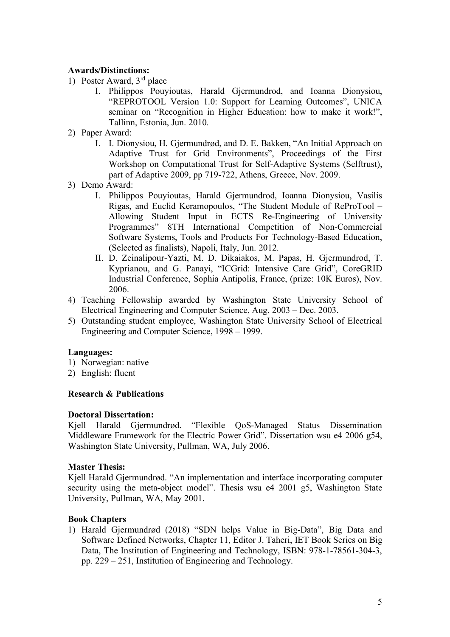### **Awards/Distinctions:**

- 1) Poster Award, 3rd place
	- I. Philippos Pouyioutas, Harald Gjermundrod, and Ioanna Dionysiou, "REPROTOOL Version 1.0: Support for Learning Outcomes", UNICA seminar on "Recognition in Higher Education: how to make it work!", Tallinn, Estonia, Jun. 2010.
- 2) Paper Award:
	- I. I. Dionysiou, H. Gjermundrød, and D. E. Bakken, "An Initial Approach on Adaptive Trust for Grid Environments", Proceedings of the First Workshop on Computational Trust for Self-Adaptive Systems (Selftrust), part of Adaptive 2009, pp 719-722, Athens, Greece, Nov. 2009.
- 3) Demo Award:
	- I. Philippos Pouyioutas, Harald Gjermundrod, Ioanna Dionysiou, Vasilis Rigas, and Euclid Keramopoulos, "The Student Module of ReProTool – Allowing Student Input in ECTS Re-Engineering of University Programmes" 8TH International Competition of Non-Commercial Software Systems, Tools and Products For Technology-Based Education, (Selected as finalists), Napoli, Italy, Jun. 2012.
	- II. D. Zeinalipour-Yazti, M. D. Dikaiakos, M. Papas, H. Gjermundrod, T. Kyprianou, and G. Panayi, "ICGrid: Intensive Care Grid", CoreGRID Industrial Conference, Sophia Antipolis, France, (prize: 10K Euros), Nov. 2006.
- 4) Teaching Fellowship awarded by Washington State University School of Electrical Engineering and Computer Science, Aug. 2003 – Dec. 2003.
- 5) Outstanding student employee, Washington State University School of Electrical Engineering and Computer Science, 1998 – 1999.

### **Languages:**

- 1) Norwegian: native
- 2) English: fluent

### **Research & Publications**

### **Doctoral Dissertation:**

Kjell Harald Gjermundrød. "Flexible QoS-Managed Status Dissemination Middleware Framework for the Electric Power Grid". Dissertation wsu e4 2006 g54, Washington State University, Pullman, WA, July 2006.

### **Master Thesis:**

Kjell Harald Gjermundrød. "An implementation and interface incorporating computer security using the meta-object model". Thesis wsu e4 2001 g5, Washington State University, Pullman, WA, May 2001.

### **Book Chapters**

1) Harald Gjermundrød (2018) "SDN helps Value in Big-Data", Big Data and Software Defined Networks, Chapter 11, Editor J. Taheri, IET Book Series on Big Data, The Institution of Engineering and Technology, ISBN: 978-1-78561-304-3, pp. 229 – 251, Institution of Engineering and Technology.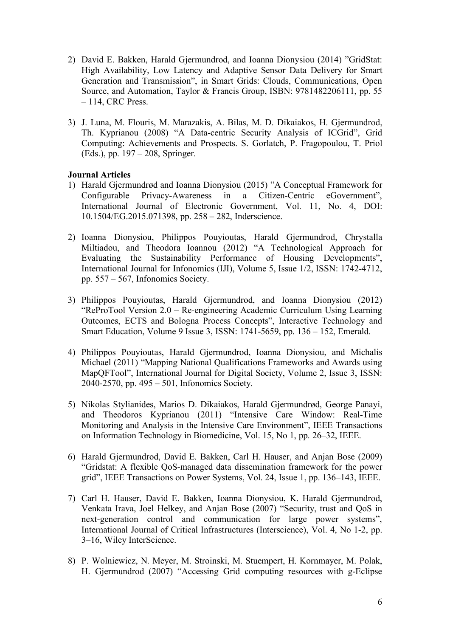- 2) David E. Bakken, Harald Gjermundrod, and Ioanna Dionysiou (2014) "GridStat: High Availability, Low Latency and Adaptive Sensor Data Delivery for Smart Generation and Transmission", in Smart Grids: Clouds, Communications, Open Source, and Automation, Taylor & Francis Group, ISBN: 9781482206111, pp. 55 – 114, CRC Press.
- 3) J. Luna, M. Flouris, M. Marazakis, A. Bilas, M. D. Dikaiakos, H. Gjermundrod, Th. Kyprianou (2008) "A Data-centric Security Analysis of ICGrid", Grid Computing: Achievements and Prospects. S. Gorlatch, P. Fragopoulou, T. Priol (Eds.), pp. 197 – 208, Springer.

### **Journal Articles**

- 1) Harald Gjermundrød and Ioanna Dionysiou (2015) "A Conceptual Framework for Configurable Privacy-Awareness in a Citizen-Centric eGovernment", International Journal of Electronic Government, Vol. 11, No. 4, DOI: 10.1504/EG.2015.071398, pp. 258 – 282, Inderscience.
- 2) Ioanna Dionysiou, Philippos Pouyioutas, Harald Gjermundrod, Chrystalla Miltiadou, and Theodora Ioannou (2012) "A Technological Approach for Evaluating the Sustainability Performance of Housing Developments", International Journal for Infonomics (IJI), Volume 5, Issue 1/2, ISSN: 1742-4712, pp. 557 – 567, Infonomics Society.
- 3) Philippos Pouyioutas, Harald Gjermundrod, and Ioanna Dionysiou (2012) "ReProTool Version 2.0 – Re-engineering Academic Curriculum Using Learning Outcomes, ECTS and Bologna Process Concepts", Interactive Technology and Smart Education, Volume 9 Issue 3, ISSN: 1741-5659, pp. 136 – 152, Emerald.
- 4) Philippos Pouyioutas, Harald Gjermundrod, Ioanna Dionysiou, and Michalis Michael (2011) "Mapping National Qualifications Frameworks and Awards using MapQFTool", International Journal for Digital Society, Volume 2, Issue 3, ISSN: 2040-2570, pp. 495 – 501, Infonomics Society.
- 5) Nikolas Stylianides, Marios D. Dikaiakos, Harald Gjermundrød, George Panayi, and Theodoros Kyprianou (2011) "Intensive Care Window: Real-Time Monitoring and Analysis in the Intensive Care Environment", IEEE Transactions on Information Technology in Biomedicine, Vol. 15, No 1, pp. 26–32, IEEE.
- 6) Harald Gjermundrod, David E. Bakken, Carl H. Hauser, and Anjan Bose (2009) "Gridstat: A flexible QoS-managed data dissemination framework for the power grid", IEEE Transactions on Power Systems, Vol. 24, Issue 1, pp. 136–143, IEEE.
- 7) Carl H. Hauser, David E. Bakken, Ioanna Dionysiou, K. Harald Gjermundrod, Venkata Irava, Joel Helkey, and Anjan Bose (2007) "Security, trust and QoS in next-generation control and communication for large power systems", International Journal of Critical Infrastructures (Interscience), Vol. 4, No 1-2, pp. 3–16, Wiley InterScience.
- 8) P. Wolniewicz, N. Meyer, M. Stroinski, M. Stuempert, H. Kornmayer, M. Polak, H. Gjermundrod (2007) "Accessing Grid computing resources with g-Eclipse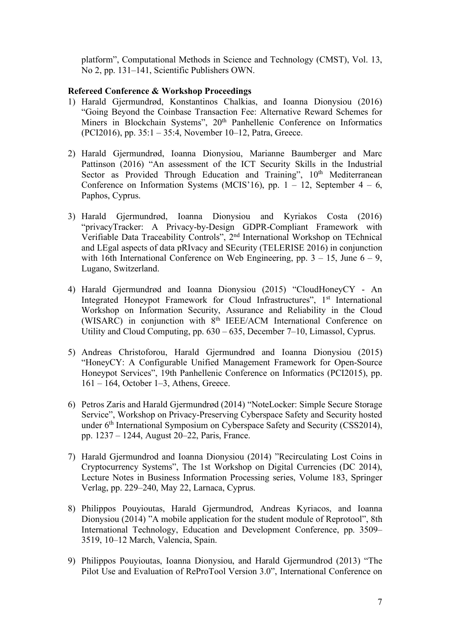platform", Computational Methods in Science and Technology (CMST), Vol. 13, No 2, pp. 131–141, Scientific Publishers OWN.

### **Refereed Conference & Workshop Proceedings**

- 1) Harald Gjermundrød, Konstantinos Chalkias, and Ioanna Dionysiou (2016) "Going Beyond the Coinbase Transaction Fee: Alternative Reward Schemes for Miners in Blockchain Systems", 20<sup>th</sup> Panhellenic Conference on Informatics (PCI2016), pp. 35:1 – 35:4, November 10–12, Patra, Greece.
- 2) Harald Gjermundrød, Ioanna Dionysiou, Marianne Baumberger and Marc Pattinson (2016) "An assessment of the ICT Security Skills in the Industrial Sector as Provided Through Education and Training", 10<sup>th</sup> Mediterranean Conference on Information Systems (MCIS'16), pp.  $1 - 12$ , September  $4 - 6$ , Paphos, Cyprus.
- 3) Harald Gjermundrød, Ioanna Dionysiou and Kyriakos Costa (2016) "privacyTracker: A Privacy-by-Design GDPR-Compliant Framework with Verifiable Data Traceability Controls", 2nd International Workshop on TEchnical and LEgal aspects of data pRIvacy and SEcurity (TELERISE 2016) in conjunction with 16th International Conference on Web Engineering, pp.  $3 - 15$ , June  $6 - 9$ , Lugano, Switzerland.
- 4) Harald Gjermundrød and Ioanna Dionysiou (2015) "CloudHoneyCY An Integrated Honeypot Framework for Cloud Infrastructures", 1<sup>st</sup> International Workshop on Information Security, Assurance and Reliability in the Cloud (WISARC) in conjunction with 8th IEEE/ACM International Conference on Utility and Cloud Computing, pp. 630 – 635, December 7–10, Limassol, Cyprus.
- 5) Andreas Christoforou, Harald Gjermundrød and Ioanna Dionysiou (2015) "HoneyCY: A Configurable Unified Management Framework for Open-Source Honeypot Services", 19th Panhellenic Conference on Informatics (PCI2015), pp. 161 – 164, October 1–3, Athens, Greece.
- 6) Petros Zaris and Harald Gjermundrød (2014) "NoteLocker: Simple Secure Storage Service", Workshop on Privacy-Preserving Cyberspace Safety and Security hosted under 6<sup>th</sup> International Symposium on Cyberspace Safety and Security (CSS2014), pp. 1237 – 1244, August 20–22, Paris, France.
- 7) Harald Gjermundrod and Ioanna Dionysiou (2014) "Recirculating Lost Coins in Cryptocurrency Systems", The 1st Workshop on Digital Currencies (DC 2014), Lecture Notes in Business Information Processing series, Volume 183, Springer Verlag, pp. 229–240, May 22, Larnaca, Cyprus.
- 8) Philippos Pouyioutas, Harald Gjermundrod, Andreas Kyriacos, and Ioanna Dionysiou (2014) "A mobile application for the student module of Reprotool", 8th International Technology, Education and Development Conference, pp. 3509– 3519, 10–12 March, Valencia, Spain.
- 9) Philippos Pouyioutas, Ioanna Dionysiou, and Harald Gjermundrod (2013) "The Pilot Use and Evaluation of ReProTool Version 3.0", International Conference on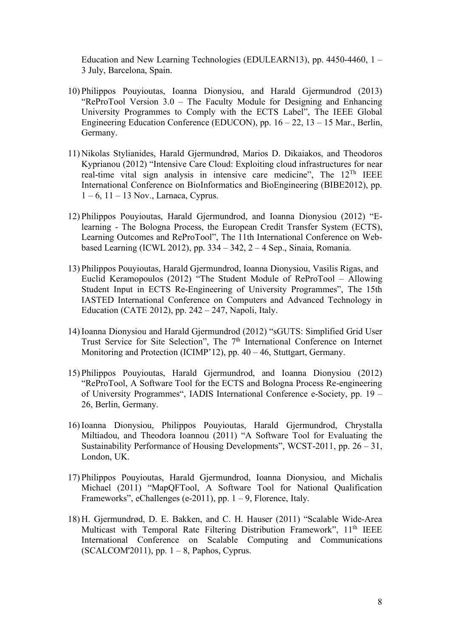Education and New Learning Technologies (EDULEARN13), pp. 4450-4460, 1 – 3 July, Barcelona, Spain.

- 10) Philippos Pouyioutas, Ioanna Dionysiou, and Harald Gjermundrod (2013) "ReProTool Version 3.0 – The Faculty Module for Designing and Enhancing University Programmes to Comply with the ECTS Label", The IEEE Global Engineering Education Conference (EDUCON), pp. 16 – 22, 13 – 15 Mar., Berlin, Germany.
- 11) Nikolas Stylianides, Harald Gjermundrød, Marios D. Dikaiakos, and Theodoros Kyprianou (2012) "Intensive Care Cloud: Exploiting cloud infrastructures for near real-time vital sign analysis in intensive care medicine", The 12Th IEEE International Conference on BioInformatics and BioEngineering (BIBE2012), pp.  $1 - 6$ ,  $11 - 13$  Nov., Larnaca, Cyprus.
- 12) Philippos Pouyioutas, Harald Gjermundrod, and Ioanna Dionysiou (2012) "Elearning - The Bologna Process, the European Credit Transfer System (ECTS), Learning Outcomes and ReProTool", The 11th International Conference on Webbased Learning (ICWL 2012), pp. 334 – 342, 2 – 4 Sep., Sinaia, Romania.
- 13) Philippos Pouyioutas, Harald Gjermundrod, Ioanna Dionysiou, Vasilis Rigas, and Euclid Keramopoulos (2012) "The Student Module of ReProTool – Allowing Student Input in ECTS Re-Engineering of University Programmes", The 15th IASTED International Conference on Computers and Advanced Technology in Education (CATE 2012), pp. 242 – 247, Napoli, Italy.
- 14) Ioanna Dionysiou and Harald Gjermundrod (2012) "sGUTS: Simplified Grid User Trust Service for Site Selection", The 7<sup>th</sup> International Conference on Internet Monitoring and Protection (ICIMP'12), pp. 40 – 46, Stuttgart, Germany.
- 15) Philippos Pouyioutas, Harald Gjermundrod, and Ioanna Dionysiou (2012) "ReProTool, A Software Tool for the ECTS and Bologna Process Re-engineering of University Programmes", IADIS International Conference e-Society, pp. 19 – 26, Berlin, Germany.
- 16) Ioanna Dionysiou, Philippos Pouyioutas, Harald Gjermundrod, Chrystalla Miltiadou, and Theodora Ioannou (2011) "A Software Tool for Evaluating the Sustainability Performance of Housing Developments", WCST-2011, pp. 26 – 31, London, UK.
- 17) Philippos Pouyioutas, Harald Gjermundrod, Ioanna Dionysiou, and Michalis Michael (2011) "MapQFTool, A Software Tool for National Qualification Frameworks", eChallenges (e-2011), pp.  $1 - 9$ , Florence, Italy.
- 18) H. Gjermundrød, D. E. Bakken, and C. H. Hauser (2011) "Scalable Wide-Area Multicast with Temporal Rate Filtering Distribution Framework", 11<sup>th</sup> IEEE International Conference on Scalable Computing and Communications  $(SCALCOM2011)$ , pp.  $1 - 8$ , Paphos, Cyprus.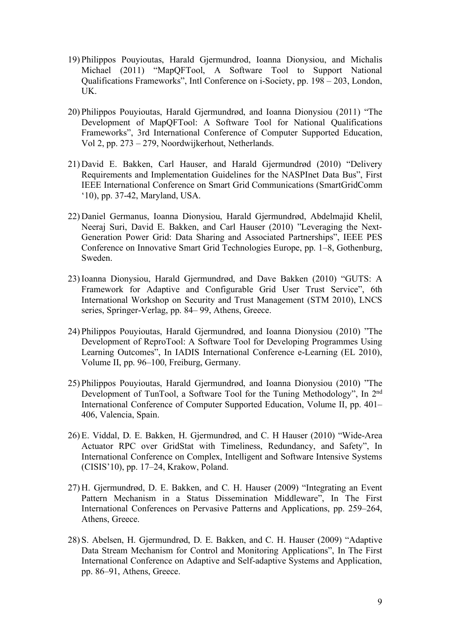- 19) Philippos Pouyioutas, Harald Gjermundrod, Ioanna Dionysiou, and Michalis Michael (2011) "MapQFTool, A Software Tool to Support National Qualifications Frameworks", Intl Conference on i-Society, pp. 198 – 203, London, UK.
- 20) Philippos Pouyioutas, Harald Gjermundrød, and Ioanna Dionysiou (2011) "The Development of MapQFTool: A Software Tool for National Qualifications Frameworks", 3rd International Conference of Computer Supported Education, Vol 2, pp. 273 – 279, Noordwijkerhout, Netherlands.
- 21) David E. Bakken, Carl Hauser, and Harald Gjermundrød (2010) "Delivery Requirements and Implementation Guidelines for the NASPInet Data Bus", First IEEE International Conference on Smart Grid Communications (SmartGridComm '10), pp. 37-42, Maryland, USA.
- 22) Daniel Germanus, Ioanna Dionysiou, Harald Gjermundrød, Abdelmajid Khelil, Neeraj Suri, David E. Bakken, and Carl Hauser (2010) "Leveraging the Next-Generation Power Grid: Data Sharing and Associated Partnerships", IEEE PES Conference on Innovative Smart Grid Technologies Europe, pp. 1–8, Gothenburg, Sweden.
- 23) Ioanna Dionysiou, Harald Gjermundrød, and Dave Bakken (2010) "GUTS: A Framework for Adaptive and Configurable Grid User Trust Service", 6th International Workshop on Security and Trust Management (STM 2010), LNCS series, Springer-Verlag, pp. 84– 99, Athens, Greece.
- 24) Philippos Pouyioutas, Harald Gjermundrød, and Ioanna Dionysiou (2010) "The Development of ReproTool: A Software Tool for Developing Programmes Using Learning Outcomes", In IADIS International Conference e-Learning (EL 2010), Volume II, pp. 96–100, Freiburg, Germany.
- 25) Philippos Pouyioutas, Harald Gjermundrød, and Ioanna Dionysiou (2010) "The Development of TunTool, a Software Tool for the Tuning Methodology", In 2nd International Conference of Computer Supported Education, Volume II, pp. 401– 406, Valencia, Spain.
- 26) E. Viddal, D. E. Bakken, H. Gjermundrød, and C. H Hauser (2010) "Wide-Area Actuator RPC over GridStat with Timeliness, Redundancy, and Safety", In International Conference on Complex, Intelligent and Software Intensive Systems (CISIS'10), pp. 17–24, Krakow, Poland.
- 27) H. Gjermundrød, D. E. Bakken, and C. H. Hauser (2009) "Integrating an Event Pattern Mechanism in a Status Dissemination Middleware", In The First International Conferences on Pervasive Patterns and Applications, pp. 259–264, Athens, Greece.
- 28) S. Abelsen, H. Gjermundrød, D. E. Bakken, and C. H. Hauser (2009) "Adaptive Data Stream Mechanism for Control and Monitoring Applications", In The First International Conference on Adaptive and Self-adaptive Systems and Application, pp. 86–91, Athens, Greece.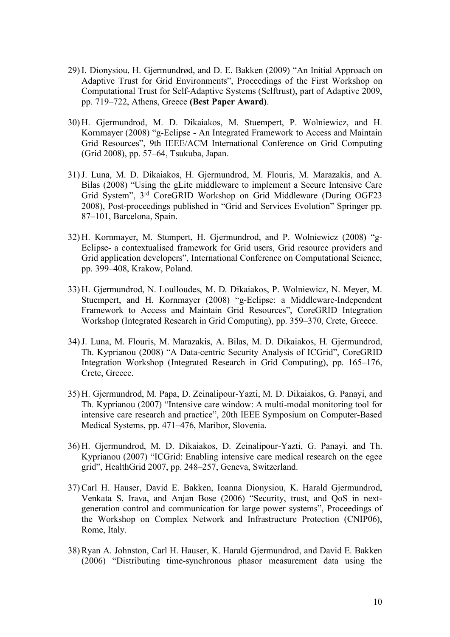- 29) I. Dionysiou, H. Gjermundrød, and D. E. Bakken (2009) "An Initial Approach on Adaptive Trust for Grid Environments", Proceedings of the First Workshop on Computational Trust for Self-Adaptive Systems (Selftrust), part of Adaptive 2009, pp. 719–722, Athens, Greece **(Best Paper Award)**.
- 30) H. Gjermundrod, M. D. Dikaiakos, M. Stuempert, P. Wolniewicz, and H. Kornmayer (2008) "g-Eclipse - An Integrated Framework to Access and Maintain Grid Resources", 9th IEEE/ACM International Conference on Grid Computing (Grid 2008), pp. 57–64, Tsukuba, Japan.
- 31)J. Luna, M. D. Dikaiakos, H. Gjermundrod, M. Flouris, M. Marazakis, and A. Bilas (2008) "Using the gLite middleware to implement a Secure Intensive Care Grid System", 3rd CoreGRID Workshop on Grid Middleware (During OGF23 2008), Post-proceedings published in "Grid and Services Evolution" Springer pp. 87–101, Barcelona, Spain.
- 32) H. Kornmayer, M. Stumpert, H. Gjermundrod, and P. Wolniewicz (2008) "g-Eclipse- a contextualised framework for Grid users, Grid resource providers and Grid application developers", International Conference on Computational Science, pp. 399–408, Krakow, Poland.
- 33) H. Gjermundrod, N. Loulloudes, M. D. Dikaiakos, P. Wolniewicz, N. Meyer, M. Stuempert, and H. Kornmayer (2008) "g-Eclipse: a Middleware-Independent Framework to Access and Maintain Grid Resources", CoreGRID Integration Workshop (Integrated Research in Grid Computing), pp. 359–370, Crete, Greece.
- 34)J. Luna, M. Flouris, M. Marazakis, A. Bilas, M. D. Dikaiakos, H. Gjermundrod, Th. Kyprianou (2008) "A Data-centric Security Analysis of ICGrid", CoreGRID Integration Workshop (Integrated Research in Grid Computing), pp. 165–176, Crete, Greece.
- 35) H. Gjermundrod, M. Papa, D. Zeinalipour-Yazti, M. D. Dikaiakos, G. Panayi, and Th. Kyprianou (2007) "Intensive care window: A multi-modal monitoring tool for intensive care research and practice", 20th IEEE Symposium on Computer-Based Medical Systems, pp. 471–476, Maribor, Slovenia.
- 36) H. Gjermundrod, M. D. Dikaiakos, D. Zeinalipour-Yazti, G. Panayi, and Th. Kyprianou (2007) "ICGrid: Enabling intensive care medical research on the egee grid", HealthGrid 2007, pp. 248–257, Geneva, Switzerland.
- 37) Carl H. Hauser, David E. Bakken, Ioanna Dionysiou, K. Harald Gjermundrod, Venkata S. Irava, and Anjan Bose (2006) "Security, trust, and QoS in nextgeneration control and communication for large power systems", Proceedings of the Workshop on Complex Network and Infrastructure Protection (CNIP06), Rome, Italy.
- 38) Ryan A. Johnston, Carl H. Hauser, K. Harald Gjermundrod, and David E. Bakken (2006) "Distributing time-synchronous phasor measurement data using the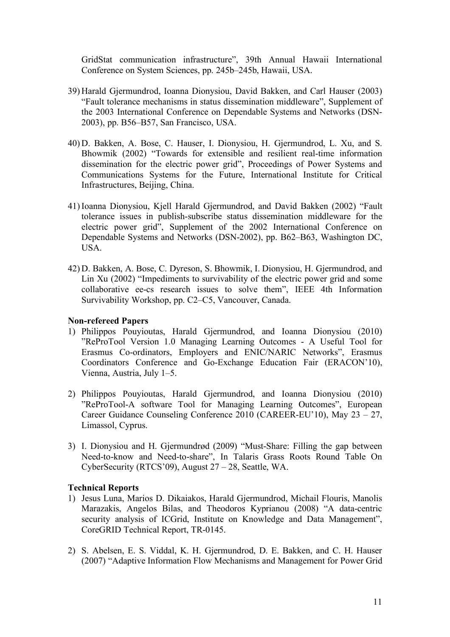GridStat communication infrastructure", 39th Annual Hawaii International Conference on System Sciences, pp. 245b–245b, Hawaii, USA.

- 39) Harald Gjermundrod, Ioanna Dionysiou, David Bakken, and Carl Hauser (2003) "Fault tolerance mechanisms in status dissemination middleware", Supplement of the 2003 International Conference on Dependable Systems and Networks (DSN-2003), pp. B56–B57, San Francisco, USA.
- 40) D. Bakken, A. Bose, C. Hauser, I. Dionysiou, H. Gjermundrod, L. Xu, and S. Bhowmik (2002) "Towards for extensible and resilient real-time information dissemination for the electric power grid", Proceedings of Power Systems and Communications Systems for the Future, International Institute for Critical Infrastructures, Beijing, China.
- 41) Ioanna Dionysiou, Kjell Harald Gjermundrod, and David Bakken (2002) "Fault tolerance issues in publish-subscribe status dissemination middleware for the electric power grid", Supplement of the 2002 International Conference on Dependable Systems and Networks (DSN-2002), pp. B62–B63, Washington DC, USA.
- 42) D. Bakken, A. Bose, C. Dyreson, S. Bhowmik, I. Dionysiou, H. Gjermundrod, and Lin Xu (2002) "Impediments to survivability of the electric power grid and some collaborative ee-cs research issues to solve them", IEEE 4th Information Survivability Workshop, pp. C2–C5, Vancouver, Canada.

#### **Non-refereed Papers**

- 1) Philippos Pouyioutas, Harald Gjermundrod, and Ioanna Dionysiou (2010) "ReProTool Version 1.0 Managing Learning Outcomes - A Useful Tool for Erasmus Co-ordinators, Employers and ENIC/NARIC Networks", Erasmus Coordinators Conference and Go-Exchange Education Fair (ERACON'10), Vienna, Austria, July 1–5.
- 2) Philippos Pouyioutas, Harald Gjermundrod, and Ioanna Dionysiou (2010) "ReProTool-A software Tool for Managing Learning Outcomes", European Career Guidance Counseling Conference 2010 (CAREER-EU'10), May 23 – 27, Limassol, Cyprus.
- 3) I. Dionysiou and H. Gjermundrød (2009) "Must-Share: Filling the gap between Need-to-know and Need-to-share", In Talaris Grass Roots Round Table On CyberSecurity (RTCS'09), August 27 – 28, Seattle, WA.

### **Technical Reports**

- 1) Jesus Luna, Marios D. Dikaiakos, Harald Gjermundrod, Michail Flouris, Manolis Marazakis, Angelos Bilas, and Theodoros Kyprianou (2008) "A data-centric security analysis of ICGrid, Institute on Knowledge and Data Management", CoreGRID Technical Report, TR-0145.
- 2) S. Abelsen, E. S. Viddal, K. H. Gjermundrod, D. E. Bakken, and C. H. Hauser (2007) "Adaptive Information Flow Mechanisms and Management for Power Grid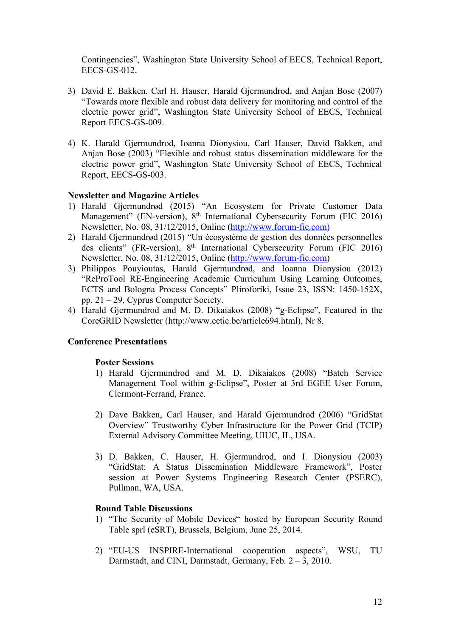Contingencies", Washington State University School of EECS, Technical Report, EECS-GS-012.

- 3) David E. Bakken, Carl H. Hauser, Harald Gjermundrod, and Anjan Bose (2007) "Towards more flexible and robust data delivery for monitoring and control of the electric power grid", Washington State University School of EECS, Technical Report EECS-GS-009.
- 4) K. Harald Gjermundrod, Ioanna Dionysiou, Carl Hauser, David Bakken, and Anjan Bose (2003) "Flexible and robust status dissemination middleware for the electric power grid", Washington State University School of EECS, Technical Report, EECS-GS-003.

### **Newsletter and Magazine Articles**

- 1) Harald Gjermundrød (2015) "An Ecosystem for Private Customer Data Management" (EN-version), 8<sup>th</sup> International Cybersecurity Forum (FIC 2016) Newsletter, No. 08, 31/12/2015, Online (http://www.forum-fic.com)
- 2) Harald Gjermundrød (2015) "Un écosystème de gestion des données personnelles des clients" (FR-version), 8<sup>th</sup> International Cybersecurity Forum (FIC 2016) Newsletter, No. 08, 31/12/2015, Online (http://www.forum-fic.com)
- 3) Philippos Pouyioutas, Harald Gjermundrød, and Ioanna Dionysiou (2012) "ReProTool RE-Engineering Academic Curriculum Using Learning Outcomes, ECTS and Bologna Process Concepts" Pliroforiki, Issue 23, ISSN: 1450-152X, pp. 21 – 29, Cyprus Computer Society.
- 4) Harald Gjermundrod and M. D. Dikaiakos (2008) "g-Eclipse", Featured in the CoreGRID Newsletter (http://www.cetic.be/article694.html), Nr 8.

### **Conference Presentations**

### **Poster Sessions**

- 1) Harald Gjermundrod and M. D. Dikaiakos (2008) "Batch Service Management Tool within g-Eclipse", Poster at 3rd EGEE User Forum, Clermont-Ferrand, France.
- 2) Dave Bakken, Carl Hauser, and Harald Gjermundrod (2006) "GridStat Overview" Trustworthy Cyber Infrastructure for the Power Grid (TCIP) External Advisory Committee Meeting, UIUC, IL, USA.
- 3) D. Bakken, C. Hauser, H. Gjermundrod, and I. Dionysiou (2003) "GridStat: A Status Dissemination Middleware Framework", Poster session at Power Systems Engineering Research Center (PSERC), Pullman, WA, USA.

### **Round Table Discussions**

- 1) "The Security of Mobile Devices" hosted by European Security Round Table sprl (eSRT), Brussels, Belgium, June 25, 2014.
- 2) "EU-US INSPIRE-International cooperation aspects", WSU, TU Darmstadt, and CINI, Darmstadt, Germany, Feb. 2 – 3, 2010.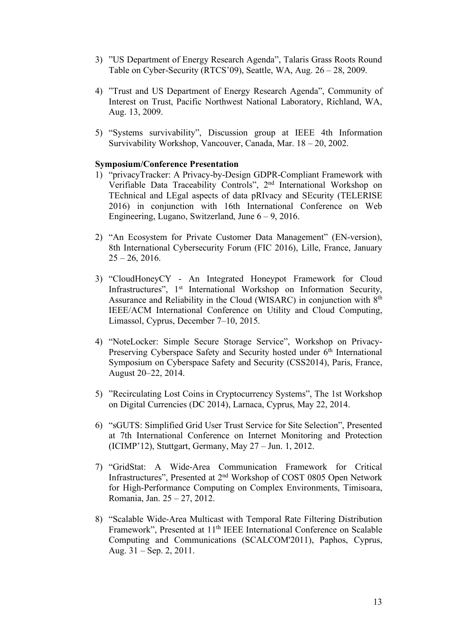- 3) "US Department of Energy Research Agenda", Talaris Grass Roots Round Table on Cyber-Security (RTCS'09), Seattle, WA, Aug. 26 – 28, 2009.
- 4) "Trust and US Department of Energy Research Agenda", Community of Interest on Trust, Pacific Northwest National Laboratory, Richland, WA, Aug. 13, 2009.
- 5) "Systems survivability", Discussion group at IEEE 4th Information Survivability Workshop, Vancouver, Canada, Mar. 18 – 20, 2002.

### **Symposium/Conference Presentation**

- 1) "privacyTracker: A Privacy-by-Design GDPR-Compliant Framework with Verifiable Data Traceability Controls", 2nd International Workshop on TEchnical and LEgal aspects of data pRIvacy and SEcurity (TELERISE 2016) in conjunction with 16th International Conference on Web Engineering, Lugano, Switzerland, June 6 – 9, 2016.
- 2) "An Ecosystem for Private Customer Data Management" (EN-version), 8th International Cybersecurity Forum (FIC 2016), Lille, France, January  $25 - 26$ , 2016.
- 3) "CloudHoneyCY An Integrated Honeypot Framework for Cloud Infrastructures", 1<sup>st</sup> International Workshop on Information Security, Assurance and Reliability in the Cloud (WISARC) in conjunction with  $8<sup>th</sup>$ IEEE/ACM International Conference on Utility and Cloud Computing, Limassol, Cyprus, December 7–10, 2015.
- 4) "NoteLocker: Simple Secure Storage Service", Workshop on Privacy-Preserving Cyberspace Safety and Security hosted under  $6<sup>th</sup>$  International Symposium on Cyberspace Safety and Security (CSS2014), Paris, France, August 20–22, 2014.
- 5) "Recirculating Lost Coins in Cryptocurrency Systems", The 1st Workshop on Digital Currencies (DC 2014), Larnaca, Cyprus, May 22, 2014.
- 6) "sGUTS: Simplified Grid User Trust Service for Site Selection", Presented at 7th International Conference on Internet Monitoring and Protection (ICIMP'12), Stuttgart, Germany, May 27 – Jun. 1, 2012.
- 7) "GridStat: A Wide-Area Communication Framework for Critical Infrastructures", Presented at 2nd Workshop of COST 0805 Open Network for High-Performance Computing on Complex Environments, Timisoara, Romania, Jan. 25 – 27, 2012.
- 8) "Scalable Wide-Area Multicast with Temporal Rate Filtering Distribution Framework", Presented at 11<sup>th</sup> IEEE International Conference on Scalable Computing and Communications (SCALCOM'2011), Paphos, Cyprus, Aug. 31 – Sep. 2, 2011.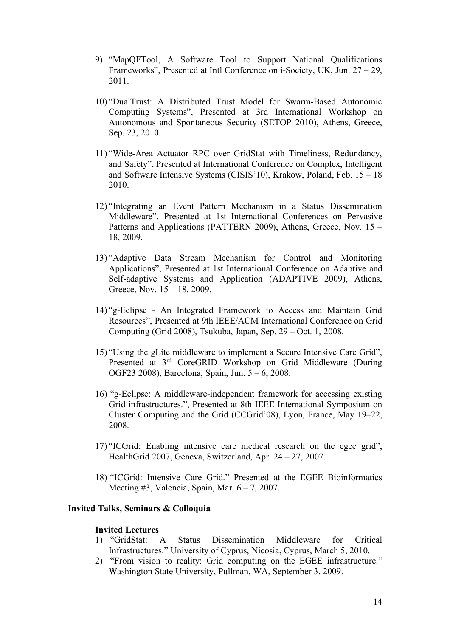- 9) "MapQFTool, A Software Tool to Support National Qualifications Frameworks", Presented at Intl Conference on i-Society, UK, Jun. 27 – 29, 2011.
- 10) "DualTrust: A Distributed Trust Model for Swarm-Based Autonomic Computing Systems", Presented at 3rd International Workshop on Autonomous and Spontaneous Security (SETOP 2010), Athens, Greece, Sep. 23, 2010.
- 11) "Wide-Area Actuator RPC over GridStat with Timeliness, Redundancy, and Safety", Presented at International Conference on Complex, Intelligent and Software Intensive Systems (CISIS'10), Krakow, Poland, Feb. 15 – 18 2010.
- 12) "Integrating an Event Pattern Mechanism in a Status Dissemination Middleware", Presented at 1st International Conferences on Pervasive Patterns and Applications (PATTERN 2009), Athens, Greece, Nov. 15 – 18, 2009.
- 13) "Adaptive Data Stream Mechanism for Control and Monitoring Applications", Presented at 1st International Conference on Adaptive and Self-adaptive Systems and Application (ADAPTIVE 2009), Athens, Greece, Nov. 15 – 18, 2009.
- 14) "g-Eclipse An Integrated Framework to Access and Maintain Grid Resources", Presented at 9th IEEE/ACM International Conference on Grid Computing (Grid 2008), Tsukuba, Japan, Sep. 29 – Oct. 1, 2008.
- 15) "Using the gLite middleware to implement a Secure Intensive Care Grid", Presented at 3rd CoreGRID Workshop on Grid Middleware (During OGF23 2008), Barcelona, Spain, Jun. 5 – 6, 2008.
- 16) "g-Eclipse: A middleware-independent framework for accessing existing Grid infrastructures.", Presented at 8th IEEE International Symposium on Cluster Computing and the Grid (CCGrid'08), Lyon, France, May 19–22, 2008.
- 17) "ICGrid: Enabling intensive care medical research on the egee grid", HealthGrid 2007, Geneva, Switzerland, Apr. 24 – 27, 2007.
- 18) "ICGrid: Intensive Care Grid." Presented at the EGEE Bioinformatics Meeting  $#3$ , Valencia, Spain, Mar.  $6 - 7$ , 2007.

### **Invited Talks, Seminars & Colloquia**

#### **Invited Lectures**

- 1) "GridStat: A Status Dissemination Middleware for Critical Infrastructures." University of Cyprus, Nicosia, Cyprus, March 5, 2010.
- 2) "From vision to reality: Grid computing on the EGEE infrastructure." Washington State University, Pullman, WA, September 3, 2009.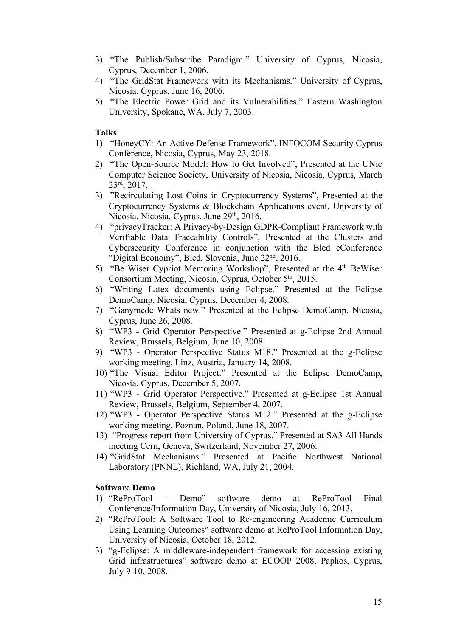- 3) "The Publish/Subscribe Paradigm." University of Cyprus, Nicosia, Cyprus, December 1, 2006.
- 4) "The GridStat Framework with its Mechanisms." University of Cyprus, Nicosia, Cyprus, June 16, 2006.
- 5) "The Electric Power Grid and its Vulnerabilities." Eastern Washington University, Spokane, WA, July 7, 2003.

**Talks** 

- 1) "HoneyCY: An Active Defense Framework", INFOCOM Security Cyprus Conference, Nicosia, Cyprus, May 23, 2018.
- 2) "The Open-Source Model: How to Get Involved", Presented at the UNic Computer Science Society, University of Nicosia, Nicosia, Cyprus, March 23rd, 2017.
- 3) "Recirculating Lost Coins in Cryptocurrency Systems", Presented at the Cryptocurrency Systems & Blockchain Applications event, University of Nicosia, Nicosia, Cyprus, June 29<sup>th</sup>, 2016.
- 4) "privacyTracker: A Privacy-by-Design GDPR-Compliant Framework with Verifiable Data Traceability Controls", Presented at the Clusters and Cybersecurity Conference in conjunction with the Bled eConference "Digital Economy", Bled, Slovenia, June 22nd, 2016.
- 5) "Be Wiser Cypriot Mentoring Workshop", Presented at the 4th BeWiser Consortium Meeting, Nicosia, Cyprus, October 5th, 2015.
- 6) "Writing Latex documents using Eclipse." Presented at the Eclipse DemoCamp, Nicosia, Cyprus, December 4, 2008.
- 7) "Ganymede Whats new." Presented at the Eclipse DemoCamp, Nicosia, Cyprus, June 26, 2008.
- 8) "WP3 Grid Operator Perspective." Presented at g-Eclipse 2nd Annual Review, Brussels, Belgium, June 10, 2008.
- 9) "WP3 Operator Perspective Status M18." Presented at the g-Eclipse working meeting, Linz, Austria, January 14, 2008.
- 10) "The Visual Editor Project." Presented at the Eclipse DemoCamp, Nicosia, Cyprus, December 5, 2007.
- 11) "WP3 Grid Operator Perspective." Presented at g-Eclipse 1st Annual Review, Brussels, Belgium, September 4, 2007.
- 12) "WP3 Operator Perspective Status M12." Presented at the g-Eclipse working meeting, Poznan, Poland, June 18, 2007.
- 13) "Progress report from University of Cyprus." Presented at SA3 All Hands meeting Cern, Geneva, Switzerland, November 27, 2006.
- 14) "GridStat Mechanisms." Presented at Pacific Northwest National Laboratory (PNNL), Richland, WA, July 21, 2004.

#### **Software Demo**

- 1) "ReProTool Demo" software demo at ReProTool Final Conference/Information Day, University of Nicosia, July 16, 2013.
- 2) "ReProTool: A Software Tool to Re-engineering Academic Curriculum Using Learning Outcomes" software demo at ReProTool Information Day, University of Nicosia, October 18, 2012.
- 3) "g-Eclipse: A middleware-independent framework for accessing existing Grid infrastructures" software demo at ECOOP 2008, Paphos, Cyprus, July 9-10, 2008.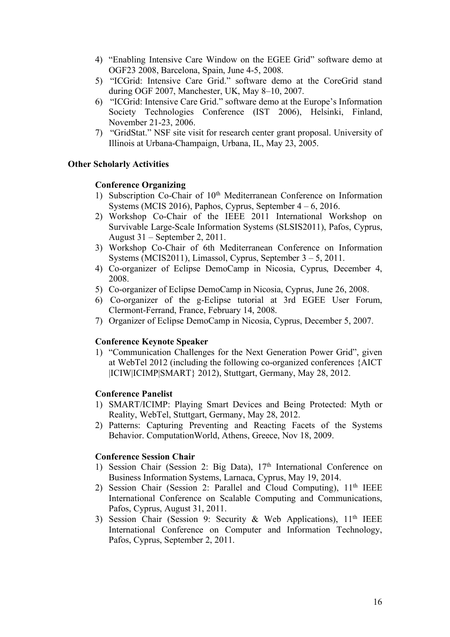- 4) "Enabling Intensive Care Window on the EGEE Grid" software demo at OGF23 2008, Barcelona, Spain, June 4-5, 2008.
- 5) "ICGrid: Intensive Care Grid." software demo at the CoreGrid stand during OGF 2007, Manchester, UK, May 8–10, 2007.
- 6) "ICGrid: Intensive Care Grid." software demo at the Europe's Information Society Technologies Conference (IST 2006), Helsinki, Finland, November 21-23, 2006.
- 7) "GridStat." NSF site visit for research center grant proposal. University of Illinois at Urbana-Champaign, Urbana, IL, May 23, 2005.

### **Other Scholarly Activities**

#### **Conference Organizing**

- 1) Subscription Co-Chair of 10<sup>th</sup> Mediterranean Conference on Information Systems (MCIS 2016), Paphos, Cyprus, September 4 – 6, 2016.
- 2) Workshop Co-Chair of the IEEE 2011 International Workshop on Survivable Large-Scale Information Systems (SLSIS2011), Pafos, Cyprus, August 31 – September 2, 2011.
- 3) Workshop Co-Chair of 6th Mediterranean Conference on Information Systems (MCIS2011), Limassol, Cyprus, September 3 – 5, 2011.
- 4) Co-organizer of Eclipse DemoCamp in Nicosia, Cyprus, December 4, 2008.
- 5) Co-organizer of Eclipse DemoCamp in Nicosia, Cyprus, June 26, 2008.
- 6) Co-organizer of the g-Eclipse tutorial at 3rd EGEE User Forum, Clermont-Ferrand, France, February 14, 2008.
- 7) Organizer of Eclipse DemoCamp in Nicosia, Cyprus, December 5, 2007.

### **Conference Keynote Speaker**

1) "Communication Challenges for the Next Generation Power Grid", given at WebTel 2012 (including the following co-organized conferences {AICT |ICIW|ICIMP|SMART} 2012), Stuttgart, Germany, May 28, 2012.

#### **Conference Panelist**

- 1) SMART/ICIMP: Playing Smart Devices and Being Protected: Myth or Reality, WebTel, Stuttgart, Germany, May 28, 2012.
- 2) Patterns: Capturing Preventing and Reacting Facets of the Systems Behavior. ComputationWorld, Athens, Greece, Nov 18, 2009.

#### **Conference Session Chair**

- 1) Session Chair (Session 2: Big Data), 17<sup>th</sup> International Conference on Business Information Systems, Larnaca, Cyprus, May 19, 2014.
- 2) Session Chair (Session 2: Parallel and Cloud Computing),  $11<sup>th</sup> IEEE$ International Conference on Scalable Computing and Communications, Pafos, Cyprus, August 31, 2011.
- 3) Session Chair (Session 9: Security & Web Applications),  $11<sup>th</sup> IEEE$ International Conference on Computer and Information Technology, Pafos, Cyprus, September 2, 2011.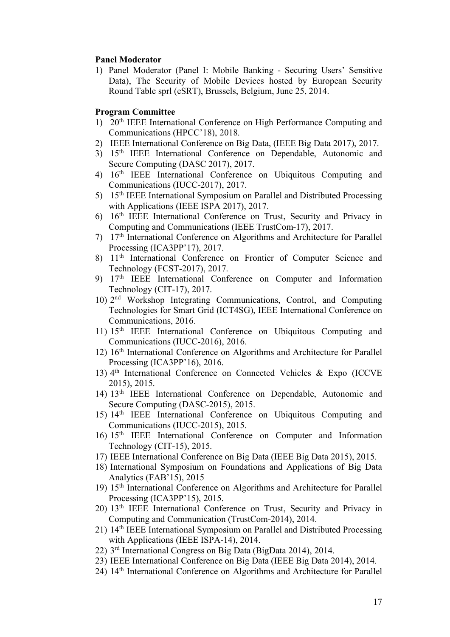#### **Panel Moderator**

1) Panel Moderator (Panel I: Mobile Banking - Securing Users' Sensitive Data), The Security of Mobile Devices hosted by European Security Round Table sprl (eSRT), Brussels, Belgium, June 25, 2014.

#### **Program Committee**

- 1) 20th IEEE International Conference on High Performance Computing and Communications (HPCC'18), 2018.
- 2) IEEE International Conference on Big Data, (IEEE Big Data 2017), 2017.
- 3) 15th IEEE International Conference on Dependable, Autonomic and Secure Computing (DASC 2017), 2017.
- 4) 16th IEEE International Conference on Ubiquitous Computing and Communications (IUCC-2017), 2017.
- 5) 15th IEEE International Symposium on Parallel and Distributed Processing with Applications (IEEE ISPA 2017), 2017.
- 6) 16th IEEE International Conference on Trust, Security and Privacy in Computing and Communications (IEEE TrustCom-17), 2017.
- 7) 17th International Conference on Algorithms and Architecture for Parallel Processing (ICA3PP'17), 2017.
- 8)  $11<sup>th</sup> International Conference on Frontier of Computer Science and$ Technology (FCST-2017), 2017.
- 9) 17th IEEE International Conference on Computer and Information Technology (CIT-17), 2017.
- 10) 2 nd Workshop Integrating Communications, Control, and Computing Technologies for Smart Grid (ICT4SG), IEEE International Conference on Communications, 2016.
- 11) 15<sup>th</sup> IEEE International Conference on Ubiquitous Computing and Communications (IUCC-2016), 2016.
- 12) 16th International Conference on Algorithms and Architecture for Parallel Processing (ICA3PP'16), 2016.
- 13) 4 th International Conference on Connected Vehicles & Expo (ICCVE 2015), 2015.
- 14) 13th IEEE International Conference on Dependable, Autonomic and Secure Computing (DASC-2015), 2015.
- 15) 14<sup>th</sup> IEEE International Conference on Ubiquitous Computing and Communications (IUCC-2015), 2015.
- 16) 15th IEEE International Conference on Computer and Information Technology (CIT-15), 2015.
- 17) IEEE International Conference on Big Data (IEEE Big Data 2015), 2015.
- 18) International Symposium on Foundations and Applications of Big Data Analytics (FAB'15), 2015
- 19) 15th International Conference on Algorithms and Architecture for Parallel Processing (ICA3PP'15), 2015.
- 20) 13th IEEE International Conference on Trust, Security and Privacy in Computing and Communication (TrustCom-2014), 2014.
- 21) 14th IEEE International Symposium on Parallel and Distributed Processing with Applications (IEEE ISPA-14), 2014.
- 22) 3 rd International Congress on Big Data (BigData 2014), 2014.
- 23) IEEE International Conference on Big Data (IEEE Big Data 2014), 2014.
- 24) 14th International Conference on Algorithms and Architecture for Parallel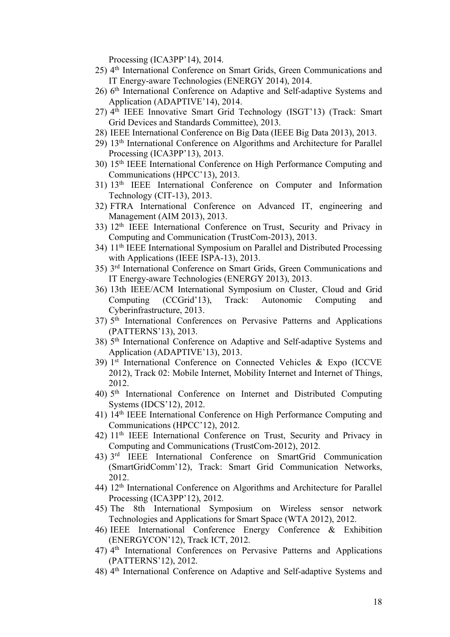Processing (ICA3PP'14), 2014.

- 25) 4 th International Conference on Smart Grids, Green Communications and IT Energy-aware Technologies (ENERGY 2014), 2014.
- 26) 6<sup>th</sup> International Conference on Adaptive and Self-adaptive Systems and Application (ADAPTIVE'14), 2014.
- 27) 4 th IEEE Innovative Smart Grid Technology (ISGT'13) (Track: Smart Grid Devices and Standards Committee), 2013.
- 28) IEEE International Conference on Big Data (IEEE Big Data 2013), 2013.
- 29) 13th International Conference on Algorithms and Architecture for Parallel Processing (ICA3PP'13), 2013.
- 30) 15th IEEE International Conference on High Performance Computing and Communications (HPCC'13), 2013.
- 31) 13th IEEE International Conference on Computer and Information Technology (CIT-13), 2013.
- 32) FTRA International Conference on Advanced IT, engineering and Management (AIM 2013), 2013.
- 33) 12<sup>th</sup> IEEE International Conference on Trust, Security and Privacy in Computing and Communication (TrustCom-2013), 2013.
- 34) 11th IEEE International Symposium on Parallel and Distributed Processing with Applications (IEEE ISPA-13), 2013.
- 35) 3 rd International Conference on Smart Grids, Green Communications and IT Energy-aware Technologies (ENERGY 2013), 2013.
- 36) 13th IEEE/ACM International Symposium on Cluster, Cloud and Grid Computing (CCGrid'13), Track: Autonomic Computing and Cyberinfrastructure, 2013.
- 37) 5<sup>th</sup> International Conferences on Pervasive Patterns and Applications (PATTERNS'13), 2013.
- 38) 5 th International Conference on Adaptive and Self-adaptive Systems and Application (ADAPTIVE'13), 2013.
- 39) 1 st International Conference on Connected Vehicles & Expo (ICCVE 2012), Track 02: Mobile Internet, Mobility Internet and Internet of Things, 2012.
- 40) 5 th International Conference on Internet and Distributed Computing Systems (IDCS'12), 2012.
- 41) 14th IEEE International Conference on High Performance Computing and Communications (HPCC'12), 2012.
- 42) 11th IEEE International Conference on Trust, Security and Privacy in Computing and Communications (TrustCom-2012), 2012.
- 43) 3 rd IEEE International Conference on SmartGrid Communication (SmartGridComm'12), Track: Smart Grid Communication Networks, 2012.
- 44) 12th International Conference on Algorithms and Architecture for Parallel Processing (ICA3PP'12), 2012.
- 45) The 8th International Symposium on Wireless sensor network Technologies and Applications for Smart Space (WTA 2012), 2012.
- 46) IEEE International Conference Energy Conference & Exhibition (ENERGYCON'12), Track ICT, 2012.
- 47) 4<sup>th</sup> International Conferences on Pervasive Patterns and Applications (PATTERNS'12), 2012.
- 48) 4 th International Conference on Adaptive and Self-adaptive Systems and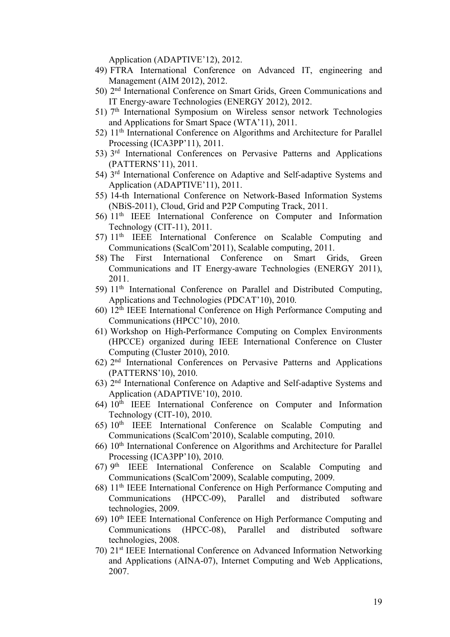Application (ADAPTIVE'12), 2012.

- 49) FTRA International Conference on Advanced IT, engineering and Management (AIM 2012), 2012.
- 50) 2<sup>nd</sup> International Conference on Smart Grids, Green Communications and IT Energy-aware Technologies (ENERGY 2012), 2012.
- 51) 7<sup>th</sup> International Symposium on Wireless sensor network Technologies and Applications for Smart Space (WTA'11), 2011.
- 52) 11th International Conference on Algorithms and Architecture for Parallel Processing (ICA3PP'11), 2011.
- 53) 3<sup>rd</sup> International Conferences on Pervasive Patterns and Applications (PATTERNS'11), 2011.
- 54) 3<sup>rd</sup> International Conference on Adaptive and Self-adaptive Systems and Application (ADAPTIVE'11), 2011.
- 55) 14-th International Conference on Network-Based Information Systems (NBiS-2011), Cloud, Grid and P2P Computing Track, 2011.
- 56) 11th IEEE International Conference on Computer and Information Technology (CIT-11), 2011.
- 57) 11th IEEE International Conference on Scalable Computing and Communications (ScalCom'2011), Scalable computing, 2011.
- 58) The First International Conference on Smart Grids, Green Communications and IT Energy-aware Technologies (ENERGY 2011), 2011.
- 59) 11<sup>th</sup> International Conference on Parallel and Distributed Computing, Applications and Technologies (PDCAT'10), 2010.
- 60) 12th IEEE International Conference on High Performance Computing and Communications (HPCC'10), 2010.
- 61) Workshop on High-Performance Computing on Complex Environments (HPCCE) organized during IEEE International Conference on Cluster Computing (Cluster 2010), 2010.
- 62) 2 nd International Conferences on Pervasive Patterns and Applications (PATTERNS'10), 2010.
- 63) 2 nd International Conference on Adaptive and Self-adaptive Systems and Application (ADAPTIVE'10), 2010.
- 64) 10th IEEE International Conference on Computer and Information Technology (CIT-10), 2010.
- 65) 10th IEEE International Conference on Scalable Computing and Communications (ScalCom'2010), Scalable computing, 2010.
- 66) 10th International Conference on Algorithms and Architecture for Parallel Processing (ICA3PP'10), 2010.
- 67) 9 th IEEE International Conference on Scalable Computing and Communications (ScalCom'2009), Scalable computing, 2009.
- 68) 11th IEEE International Conference on High Performance Computing and Communications (HPCC-09), Parallel and distributed software technologies, 2009.
- 69) 10th IEEE International Conference on High Performance Computing and Communications (HPCC-08), Parallel and distributed software technologies, 2008.
- 70) 21st IEEE International Conference on Advanced Information Networking and Applications (AINA-07), Internet Computing and Web Applications, 2007.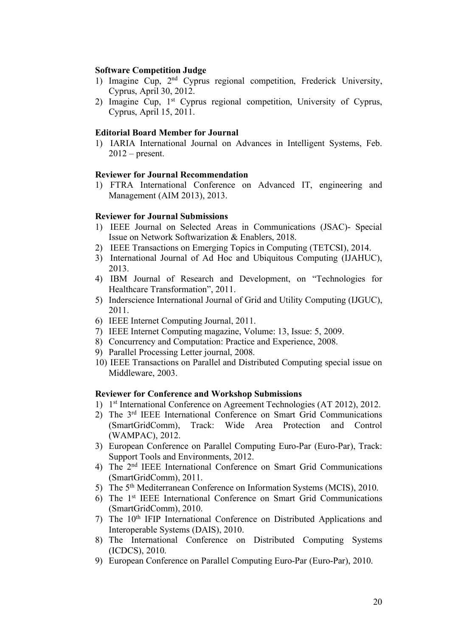### **Software Competition Judge**

- 1) Imagine Cup, 2<sup>nd</sup> Cyprus regional competition, Frederick University, Cyprus, April 30, 2012.
- 2) Imagine Cup, 1<sup>st</sup> Cyprus regional competition, University of Cyprus, Cyprus, April 15, 2011.

### **Editorial Board Member for Journal**

1) IARIA International Journal on Advances in Intelligent Systems, Feb.  $2012$  – present.

### **Reviewer for Journal Recommendation**

1) FTRA International Conference on Advanced IT, engineering and Management (AIM 2013), 2013.

### **Reviewer for Journal Submissions**

- 1) IEEE Journal on Selected Areas in Communications (JSAC)- Special Issue on Network Softwarization & Enablers, 2018.
- 2) IEEE Transactions on Emerging Topics in Computing (TETCSI), 2014.
- 3) International Journal of Ad Hoc and Ubiquitous Computing (IJAHUC), 2013.
- 4) IBM Journal of Research and Development, on "Technologies for Healthcare Transformation", 2011.
- 5) Inderscience International Journal of Grid and Utility Computing (IJGUC), 2011.
- 6) IEEE Internet Computing Journal, 2011.
- 7) IEEE Internet Computing magazine, Volume: 13, Issue: 5, 2009.
- 8) Concurrency and Computation: Practice and Experience, 2008.
- 9) Parallel Processing Letter journal, 2008.
- 10) IEEE Transactions on Parallel and Distributed Computing special issue on Middleware, 2003.

### **Reviewer for Conference and Workshop Submissions**

- 1) 1 st International Conference on Agreement Technologies (AT 2012), 2012.
- 2) The 3rd IEEE International Conference on Smart Grid Communications (SmartGridComm), Track: Wide Area Protection and Control (WAMPAC), 2012.
- 3) European Conference on Parallel Computing Euro-Par (Euro-Par), Track: Support Tools and Environments, 2012.
- 4) The 2nd IEEE International Conference on Smart Grid Communications (SmartGridComm), 2011.
- 5) The 5th Mediterranean Conference on Information Systems (MCIS), 2010.
- 6) The 1st IEEE International Conference on Smart Grid Communications (SmartGridComm), 2010.
- 7) The 10th IFIP International Conference on Distributed Applications and Interoperable Systems (DAIS), 2010.
- 8) The International Conference on Distributed Computing Systems (ICDCS), 2010.
- 9) European Conference on Parallel Computing Euro-Par (Euro-Par), 2010.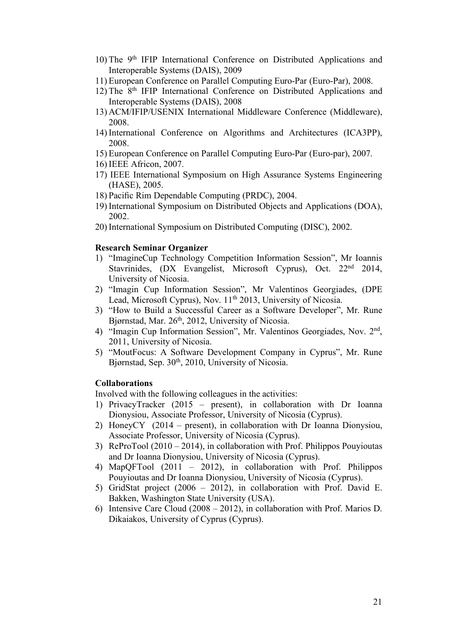- 10) The 9th IFIP International Conference on Distributed Applications and Interoperable Systems (DAIS), 2009
- 11) European Conference on Parallel Computing Euro-Par (Euro-Par), 2008.
- 12) The 8th IFIP International Conference on Distributed Applications and Interoperable Systems (DAIS), 2008
- 13) ACM/IFIP/USENIX International Middleware Conference (Middleware), 2008.
- 14) International Conference on Algorithms and Architectures (ICA3PP), 2008.
- 15) European Conference on Parallel Computing Euro-Par (Euro-par), 2007.
- 16) IEEE Africon, 2007.
- 17) IEEE International Symposium on High Assurance Systems Engineering (HASE), 2005.
- 18) Pacific Rim Dependable Computing (PRDC), 2004.
- 19) International Symposium on Distributed Objects and Applications (DOA), 2002.
- 20) International Symposium on Distributed Computing (DISC), 2002.

#### **Research Seminar Organizer**

- 1) "ImagineCup Technology Competition Information Session", Mr Ioannis Stavrinides, (DX Evangelist, Microsoft Cyprus), Oct. 22<sup>nd</sup> 2014, University of Nicosia.
- 2) "Imagin Cup Information Session", Mr Valentinos Georgiades, (DPE Lead, Microsoft Cyprus), Nov. 11<sup>th</sup> 2013, University of Nicosia.
- 3) "How to Build a Successful Career as a Software Developer", Mr. Rune Bjørnstad, Mar. 26<sup>th</sup>, 2012, University of Nicosia.
- 4) "Imagin Cup Information Session", Mr. Valentinos Georgiades, Nov. 2<sup>nd</sup>, 2011, University of Nicosia.
- 5) "MoutFocus: A Software Development Company in Cyprus", Mr. Rune Bjørnstad, Sep. 30<sup>th</sup>, 2010, University of Nicosia.

### **Collaborations**

Involved with the following colleagues in the activities:

- 1) PrivacyTracker (2015 present), in collaboration with Dr Ioanna Dionysiou, Associate Professor, University of Nicosia (Cyprus).
- 2) HoneyCY (2014 present), in collaboration with Dr Ioanna Dionysiou, Associate Professor, University of Nicosia (Cyprus).
- 3) ReProTool (2010 2014), in collaboration with Prof. Philippos Pouyioutas and Dr Ioanna Dionysiou, University of Nicosia (Cyprus).
- 4) MapQFTool (2011 2012), in collaboration with Prof. Philippos Pouyioutas and Dr Ioanna Dionysiou, University of Nicosia (Cyprus).
- 5) GridStat project (2006 2012), in collaboration with Prof. David E. Bakken, Washington State University (USA).
- 6) Intensive Care Cloud (2008 2012), in collaboration with Prof. Marios D. Dikaiakos, University of Cyprus (Cyprus).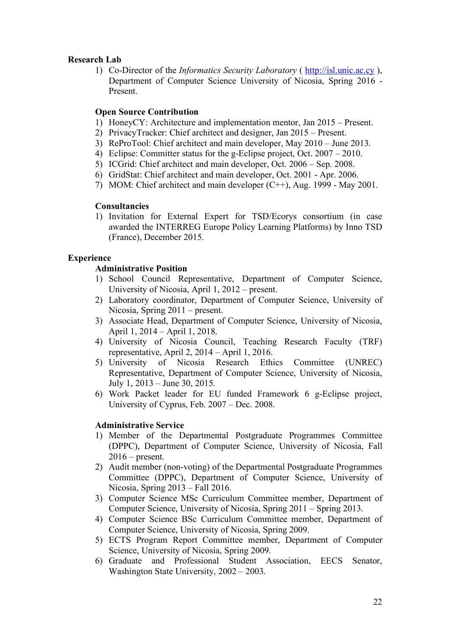### **Research Lab**

1) Co-Director of the *Informatics Security Laboratory* ( http://isl.unic.ac.cy ), Department of Computer Science University of Nicosia, Spring 2016 - Present.

### **Open Source Contribution**

- 1) HoneyCY: Architecture and implementation mentor, Jan 2015 Present.
- 2) PrivacyTracker: Chief architect and designer, Jan 2015 Present.
- 3) ReProTool: Chief architect and main developer, May 2010 June 2013.
- 4) Eclipse: Committer status for the g-Eclipse project, Oct. 2007 2010.
- 5) ICGrid: Chief architect and main developer, Oct. 2006 Sep. 2008.
- 6) GridStat: Chief architect and main developer, Oct. 2001 Apr. 2006.
- 7) MOM: Chief architect and main developer (C++), Aug. 1999 May 2001.

### **Consultancies**

1) Invitation for External Expert for TSD/Ecorys consortium (in case awarded the INTERREG Europe Policy Learning Platforms) by Inno TSD (France), December 2015.

### **Experience**

### **Administrative Position**

- 1) School Council Representative, Department of Computer Science, University of Nicosia, April 1, 2012 – present.
- 2) Laboratory coordinator, Department of Computer Science, University of Nicosia, Spring 2011 – present.
- 3) Associate Head, Department of Computer Science, University of Nicosia, April 1, 2014 – April 1, 2018.
- 4) University of Nicosia Council, Teaching Research Faculty (TRF) representative, April 2, 2014 – April 1, 2016.
- 5) University of Nicosia Research Ethics Committee (UNREC) Representative, Department of Computer Science, University of Nicosia, July 1, 2013 – June 30, 2015.
- 6) Work Packet leader for EU funded Framework 6 g-Eclipse project, University of Cyprus, Feb. 2007 – Dec. 2008.

# **Administrative Service**

- 1) Member of the Departmental Postgraduate Programmes Committee (DPPC), Department of Computer Science, University of Nicosia, Fall  $2016$  – present.
- 2) Audit member (non-voting) of the Departmental Postgraduate Programmes Committee (DPPC), Department of Computer Science, University of Nicosia, Spring 2013 – Fall 2016.
- 3) Computer Science MSc Curriculum Committee member, Department of Computer Science, University of Nicosia, Spring 2011 – Spring 2013.
- 4) Computer Science BSc Curriculum Committee member, Department of Computer Science, University of Nicosia, Spring 2009.
- 5) ECTS Program Report Committee member, Department of Computer Science, University of Nicosia, Spring 2009.
- 6) Graduate and Professional Student Association, EECS Senator, Washington State University, 2002 – 2003.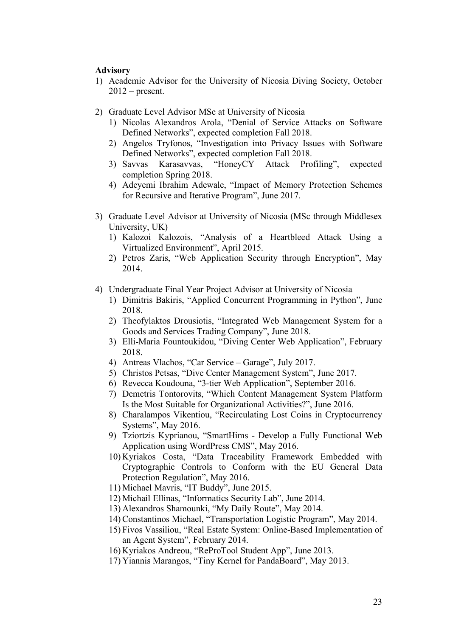### **Advisory**

- 1) Academic Advisor for the University of Nicosia Diving Society, October  $2012$  – present.
- 2) Graduate Level Advisor MSc at University of Nicosia
	- 1) Nicolas Alexandros Arola, "Denial of Service Attacks on Software Defined Networks", expected completion Fall 2018.
	- 2) Angelos Tryfonos, "Investigation into Privacy Issues with Software Defined Networks", expected completion Fall 2018.
	- 3) Savvas Karasavvas, "HoneyCY Attack Profiling", expected completion Spring 2018.
	- 4) Adeyemi Ibrahim Adewale, "Impact of Memory Protection Schemes for Recursive and Iterative Program", June 2017.
- 3) Graduate Level Advisor at University of Nicosia (MSc through Middlesex University, UK)
	- 1) Kalozoi Kalozois, "Analysis of a Heartbleed Attack Using a Virtualized Environment", April 2015.
	- 2) Petros Zaris, "Web Application Security through Encryption", May 2014.
- 4) Undergraduate Final Year Project Advisor at University of Nicosia
	- 1) Dimitris Bakiris, "Applied Concurrent Programming in Python", June 2018.
	- 2) Theofylaktos Drousiotis, "Integrated Web Management System for a Goods and Services Trading Company", June 2018.
	- 3) Elli-Maria Fountoukidou, "Diving Center Web Application", February 2018.
	- 4) Antreas Vlachos, "Car Service Garage", July 2017.
	- 5) Christos Petsas, "Dive Center Management System", June 2017.
	- 6) Revecca Koudouna, "3-tier Web Application", September 2016.
	- 7) Demetris Tontorovits, "Which Content Management System Platform Is the Most Suitable for Organizational Activities?", June 2016.
	- 8) Charalampos Vikentiou, "Recirculating Lost Coins in Cryptocurrency Systems", May 2016.
	- 9) Tziortzis Kyprianou, "SmartHims Develop a Fully Functional Web Application using WordPress CMS", May 2016.
	- 10) Kyriakos Costa, "Data Traceability Framework Embedded with Cryptographic Controls to Conform with the EU General Data Protection Regulation", May 2016.
	- 11) Michael Mavris, "IT Buddy", June 2015.
	- 12) Michail Ellinas, "Informatics Security Lab", June 2014.
	- 13) Alexandros Shamounki, "My Daily Route", May 2014.
	- 14) Constantinos Michael, "Transportation Logistic Program", May 2014.
	- 15) Fivos Vassiliou, "Real Estate System: Online-Based Implementation of an Agent System", February 2014.
	- 16) Kyriakos Andreou, "ReProTool Student App", June 2013.
	- 17) Yiannis Marangos, "Tiny Kernel for PandaBoard", May 2013.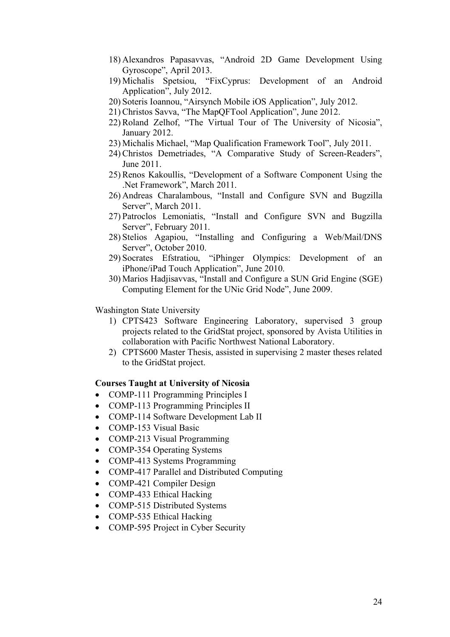- 18) Alexandros Papasavvas, "Android 2D Game Development Using Gyroscope", April 2013.
- 19) Michalis Spetsiou, "FixCyprus: Development of an Android Application", July 2012.
- 20) Soteris Ioannou, "Airsynch Mobile iOS Application", July 2012.
- 21) Christos Savva, "The MapQFTool Application", June 2012.
- 22) Roland Zelhof, "The Virtual Tour of The University of Nicosia", January 2012.
- 23) Michalis Michael, "Map Qualification Framework Tool", July 2011.
- 24) Christos Demetriades, "A Comparative Study of Screen-Readers", June 2011.
- 25) Renos Kakoullis, "Development of a Software Component Using the .Net Framework", March 2011.
- 26) Andreas Charalambous, "Install and Configure SVN and Bugzilla Server", March 2011.
- 27) Patroclos Lemoniatis, "Install and Configure SVN and Bugzilla Server", February 2011.
- 28) Stelios Agapiou, "Installing and Configuring a Web/Mail/DNS Server", October 2010.
- 29) Socrates Efstratiou, "iPhinger Olympics: Development of an iPhone/iPad Touch Application", June 2010.
- 30) Marios Hadjisavvas, "Install and Configure a SUN Grid Engine (SGE) Computing Element for the UNic Grid Node", June 2009.

#### Washington State University

- 1) CPTS423 Software Engineering Laboratory, supervised 3 group projects related to the GridStat project, sponsored by Avista Utilities in collaboration with Pacific Northwest National Laboratory.
- 2) CPTS600 Master Thesis, assisted in supervising 2 master theses related to the GridStat project.

#### **Courses Taught at University of Nicosia**

- COMP-111 Programming Principles I
- COMP-113 Programming Principles II
- COMP-114 Software Development Lab II
- COMP-153 Visual Basic
- COMP-213 Visual Programming
- COMP-354 Operating Systems
- COMP-413 Systems Programming
- COMP-417 Parallel and Distributed Computing
- COMP-421 Compiler Design
- COMP-433 Ethical Hacking
- COMP-515 Distributed Systems
- COMP-535 Ethical Hacking
- COMP-595 Project in Cyber Security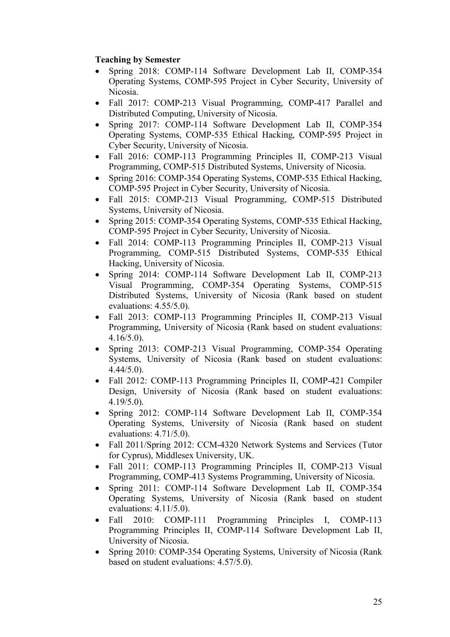# **Teaching by Semester**

- Spring 2018: COMP-114 Software Development Lab II, COMP-354 Operating Systems, COMP-595 Project in Cyber Security, University of Nicosia.
- Fall 2017: COMP-213 Visual Programming, COMP-417 Parallel and Distributed Computing, University of Nicosia.
- Spring 2017: COMP-114 Software Development Lab II, COMP-354 Operating Systems, COMP-535 Ethical Hacking, COMP-595 Project in Cyber Security, University of Nicosia.
- Fall 2016: COMP-113 Programming Principles II, COMP-213 Visual Programming, COMP-515 Distributed Systems, University of Nicosia.
- Spring 2016: COMP-354 Operating Systems, COMP-535 Ethical Hacking, COMP-595 Project in Cyber Security, University of Nicosia.
- Fall 2015: COMP-213 Visual Programming, COMP-515 Distributed Systems, University of Nicosia.
- Spring 2015: COMP-354 Operating Systems, COMP-535 Ethical Hacking. COMP-595 Project in Cyber Security, University of Nicosia.
- Fall 2014: COMP-113 Programming Principles II, COMP-213 Visual Programming, COMP-515 Distributed Systems, COMP-535 Ethical Hacking, University of Nicosia.
- Spring 2014: COMP-114 Software Development Lab II, COMP-213 Visual Programming, COMP-354 Operating Systems, COMP-515 Distributed Systems, University of Nicosia (Rank based on student evaluations: 4.55/5.0).
- Fall 2013: COMP-113 Programming Principles II, COMP-213 Visual Programming, University of Nicosia (Rank based on student evaluations: 4.16/5.0).
- Spring 2013: COMP-213 Visual Programming, COMP-354 Operating Systems, University of Nicosia (Rank based on student evaluations: 4.44/5.0).
- Fall 2012: COMP-113 Programming Principles II, COMP-421 Compiler Design, University of Nicosia (Rank based on student evaluations: 4.19/5.0).
- Spring 2012: COMP-114 Software Development Lab II, COMP-354 Operating Systems, University of Nicosia (Rank based on student evaluations: 4.71/5.0).
- Fall 2011/Spring 2012: CCM-4320 Network Systems and Services (Tutor for Cyprus), Middlesex University, UK.
- Fall 2011: COMP-113 Programming Principles II, COMP-213 Visual Programming, COMP-413 Systems Programming, University of Nicosia.
- Spring 2011: COMP-114 Software Development Lab II, COMP-354 Operating Systems, University of Nicosia (Rank based on student evaluations: 4.11/5.0).
- Fall 2010: COMP-111 Programming Principles I, COMP-113 Programming Principles II, COMP-114 Software Development Lab II, University of Nicosia.
- Spring 2010: COMP-354 Operating Systems, University of Nicosia (Rank based on student evaluations: 4.57/5.0).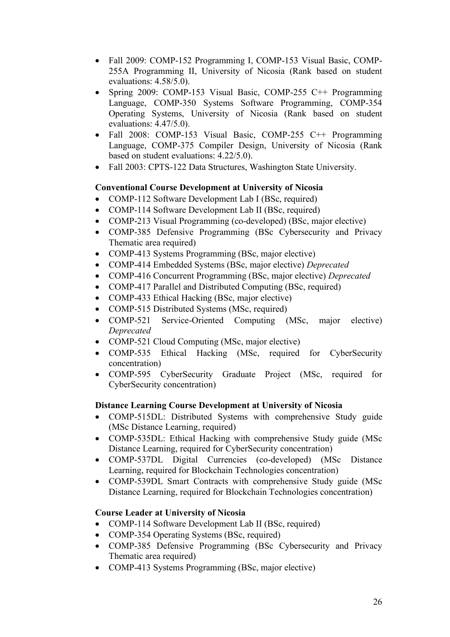- Fall 2009: COMP-152 Programming I, COMP-153 Visual Basic, COMP-255A Programming II, University of Nicosia (Rank based on student evaluations: 4.58/5.0).
- Spring 2009: COMP-153 Visual Basic, COMP-255 C++ Programming Language, COMP-350 Systems Software Programming, COMP-354 Operating Systems, University of Nicosia (Rank based on student evaluations: 4.47/5.0).
- Fall 2008: COMP-153 Visual Basic, COMP-255 C++ Programming Language, COMP-375 Compiler Design, University of Nicosia (Rank based on student evaluations: 4.22/5.0).
- Fall 2003: CPTS-122 Data Structures, Washington State University.

# **Conventional Course Development at University of Nicosia**

- COMP-112 Software Development Lab I (BSc, required)
- COMP-114 Software Development Lab II (BSc, required)
- COMP-213 Visual Programming (co-developed) (BSc, major elective)
- COMP-385 Defensive Programming (BSc Cybersecurity and Privacy Thematic area required)
- COMP-413 Systems Programming (BSc, major elective)
- COMP-414 Embedded Systems (BSc, major elective) *Deprecated*
- COMP-416 Concurrent Programming (BSc, major elective) *Deprecated*
- COMP-417 Parallel and Distributed Computing (BSc, required)
- COMP-433 Ethical Hacking (BSc, major elective)
- COMP-515 Distributed Systems (MSc, required)
- COMP-521 Service-Oriented Computing (MSc, major elective) *Deprecated*
- COMP-521 Cloud Computing (MSc, major elective)
- COMP-535 Ethical Hacking (MSc, required for CyberSecurity concentration)
- COMP-595 CyberSecurity Graduate Project (MSc, required for CyberSecurity concentration)

### **Distance Learning Course Development at University of Nicosia**

- COMP-515DL: Distributed Systems with comprehensive Study guide (MSc Distance Learning, required)
- COMP-535DL: Ethical Hacking with comprehensive Study guide (MSc Distance Learning, required for CyberSecurity concentration)
- COMP-537DL Digital Currencies (co-developed) (MSc Distance Learning, required for Blockchain Technologies concentration)
- COMP-539DL Smart Contracts with comprehensive Study guide (MSc Distance Learning, required for Blockchain Technologies concentration)

### **Course Leader at University of Nicosia**

- COMP-114 Software Development Lab II (BSc, required)
- COMP-354 Operating Systems (BSc, required)
- COMP-385 Defensive Programming (BSc Cybersecurity and Privacy Thematic area required)
- COMP-413 Systems Programming (BSc, major elective)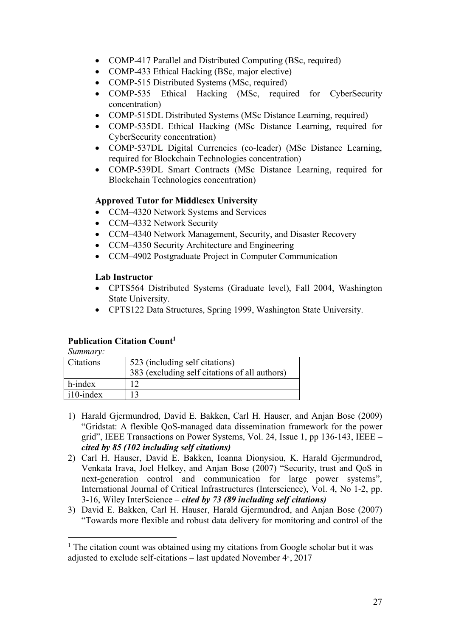- COMP-417 Parallel and Distributed Computing (BSc, required)
- COMP-433 Ethical Hacking (BSc, major elective)
- COMP-515 Distributed Systems (MSc, required)
- COMP-535 Ethical Hacking (MSc, required for CyberSecurity concentration)
- COMP-515DL Distributed Systems (MSc Distance Learning, required)
- COMP-535DL Ethical Hacking (MSc Distance Learning, required for CyberSecurity concentration)
- COMP-537DL Digital Currencies (co-leader) (MSc Distance Learning, required for Blockchain Technologies concentration)
- COMP-539DL Smart Contracts (MSc Distance Learning, required for Blockchain Technologies concentration)

# **Approved Tutor for Middlesex University**

- CCM–4320 Network Systems and Services
- CCM-4332 Network Security
- CCM–4340 Network Management, Security, and Disaster Recovery
- CCM–4350 Security Architecture and Engineering
- CCM–4902 Postgraduate Project in Computer Communication

# **Lab Instructor**

- CPTS564 Distributed Systems (Graduate level), Fall 2004, Washington State University.
- CPTS122 Data Structures, Spring 1999, Washington State University.

# **Publication Citation Count<sup>1</sup>**

*Summary:* 

 $\overline{a}$ 

| Citations    | 523 (including self citations)<br>383 (excluding self citations of all authors) |
|--------------|---------------------------------------------------------------------------------|
| h-index      |                                                                                 |
| $i10$ -index |                                                                                 |

- 1) Harald Gjermundrod, David E. Bakken, Carl H. Hauser, and Anjan Bose (2009) "Gridstat: A flexible QoS-managed data dissemination framework for the power grid", IEEE Transactions on Power Systems, Vol. 24, Issue 1, pp 136-143, IEEE **–**  *cited by 85 (102 including self citations)*
- 2) Carl H. Hauser, David E. Bakken, Ioanna Dionysiou, K. Harald Gjermundrod, Venkata Irava, Joel Helkey, and Anjan Bose (2007) "Security, trust and QoS in next-generation control and communication for large power systems", International Journal of Critical Infrastructures (Interscience), Vol. 4, No 1-2, pp. 3-16, Wiley InterScience – *cited by 73 (89 including self citations)*
- 3) David E. Bakken, Carl H. Hauser, Harald Gjermundrod, and Anjan Bose (2007) "Towards more flexible and robust data delivery for monitoring and control of the

<sup>&</sup>lt;sup>1</sup> The citation count was obtained using my citations from Google scholar but it was adjusted to exclude self-citations – last updated November  $4^{\circ}$ , 2017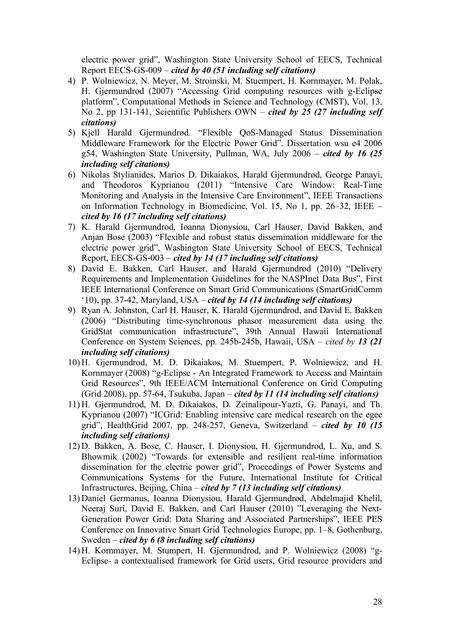electric power grid", Washington State University School of EECS, Technical Report EECS-GS-009 – *cited by 40 (51 including self citations)*

- 4) P. Wolniewicz, N. Meyer, M. Stroinski, M. Stuempert, H. Kornmayer, M. Polak, H. Gjermundrod (2007) "Accessing Grid computing resources with g-Eclipse platform", Computational Methods in Science and Technology (CMST), Vol. 13, No 2, pp 131-141, Scientific Publishers OWN – *cited by 25 (27 including self citations)*
- 5) Kjell Harald Gjermundrød. "Flexible QoS-Managed Status Dissemination Middleware Framework for the Electric Power Grid". Dissertation wsu e4 2006 g54, Washington State University, Pullman, WA, July 2006 – *cited by 16 (25 including self citations)*
- 6) Nikolas Stylianides, Marios D. Dikaiakos, Harald Gjermundrød, George Panayi, and Theodoros Kyprianou (2011) "Intensive Care Window: Real-Time Monitoring and Analysis in the Intensive Care Environment", IEEE Transactions on Information Technology in Biomedicine, Vol. 15, No 1, pp. 26–32, IEEE – *cited by 16 (17 including self citations)*
- 7) K. Harald Gjermundrod, Ioanna Dionysiou, Carl Hauser, David Bakken, and Anjan Bose (2003) "Flexible and robust status dissemination middleware for the electric power grid", Washington State University School of EECS, Technical Report, EECS-GS-003 – *cited by 14 (17 including self citations)*
- 8) David E. Bakken, Carl Hauser, and Harald Gjermundrød (2010) "Delivery Requirements and Implementation Guidelines for the NASPInet Data Bus", First IEEE International Conference on Smart Grid Communications (SmartGridComm '10), pp. 37-42, Maryland, USA – *cited by 14 (14 including self citations)*
- 9) Ryan A. Johnston, Carl H. Hauser, K. Harald Gjermundrod, and David E. Bakken (2006) "Distributing time-synchronous phasor measurement data using the GridStat communication infrastructure", 39th Annual Hawaii International Conference on System Sciences, pp. 245b-245b, Hawaii, USA – *cited by 13 (21 including self citations)*
- 10) H. Gjermundrod, M. D. Dikaiakos, M. Stuempert, P. Wolniewicz, and H. Kornmayer (2008) "g-Eclipse - An Integrated Framework to Access and Maintain Grid Resources", 9th IEEE/ACM International Conference on Grid Computing (Grid 2008), pp. 57-64, Tsukuba, Japan – *cited by 11 (14 including self citations)*
- 11) H. Gjermundrod, M. D. Dikaiakos, D. Zeinalipour-Yazti, G. Panayi, and Th. Kyprianou (2007) "ICGrid: Enabling intensive care medical research on the egee grid", HealthGrid 2007, pp. 248-257, Geneva, Switzerland – *cited by 10 (15 including self citations)*
- 12) D. Bakken, A. Bose, C. Hauser, I. Dionysiou, H. Gjermundrod, L. Xu, and S. Bhowmik (2002) "Towards for extensible and resilient real-time information dissemination for the electric power grid", Proceedings of Power Systems and Communications Systems for the Future, International Institute for Critical Infrastructures, Beijing, China – *cited by 7 (13 including self citations)*
- 13) Daniel Germanus, Ioanna Dionysiou, Harald Gjermundrød, Abdelmajid Khelil, Neeraj Suri, David E. Bakken, and Carl Hauser (2010) "Leveraging the Next-Generation Power Grid: Data Sharing and Associated Partnerships", IEEE PES Conference on Innovative Smart Grid Technologies Europe, pp. 1–8, Gothenburg, Sweden – *cited by 6 (8 including self citations)*
- 14) H. Kornmayer, M. Stumpert, H. Gjermundrod, and P. Wolniewicz (2008) "g-Eclipse- a contextualised framework for Grid users, Grid resource providers and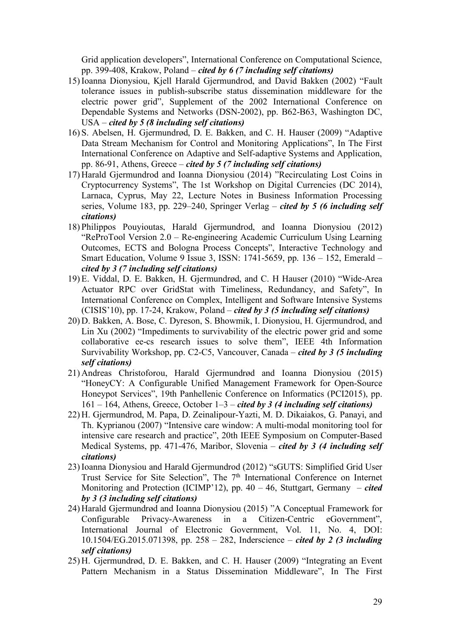Grid application developers", International Conference on Computational Science, pp. 399-408, Krakow, Poland – *cited by 6 (7 including self citations)*

- 15) Ioanna Dionysiou, Kjell Harald Gjermundrod, and David Bakken (2002) "Fault tolerance issues in publish-subscribe status dissemination middleware for the electric power grid", Supplement of the 2002 International Conference on Dependable Systems and Networks (DSN-2002), pp. B62-B63, Washington DC, USA – *cited by 5 (8 including self citations)*
- 16) S. Abelsen, H. Gjermundrød, D. E. Bakken, and C. H. Hauser (2009) "Adaptive Data Stream Mechanism for Control and Monitoring Applications", In The First International Conference on Adaptive and Self-adaptive Systems and Application, pp. 86-91, Athens, Greece – *cited by 5 (7 including self citations)*
- 17) Harald Gjermundrod and Ioanna Dionysiou (2014) "Recirculating Lost Coins in Cryptocurrency Systems", The 1st Workshop on Digital Currencies (DC 2014), Larnaca, Cyprus, May 22, Lecture Notes in Business Information Processing series, Volume 183, pp. 229–240, Springer Verlag – *cited by 5 (6 including self citations)*
- 18) Philippos Pouyioutas, Harald Gjermundrod, and Ioanna Dionysiou (2012) "ReProTool Version 2.0 – Re-engineering Academic Curriculum Using Learning Outcomes, ECTS and Bologna Process Concepts", Interactive Technology and Smart Education, Volume 9 Issue 3, ISSN: 1741-5659, pp. 136 – 152, Emerald – *cited by 3 (7 including self citations)*
- 19) E. Viddal, D. E. Bakken, H. Gjermundrød, and C. H Hauser (2010) "Wide-Area Actuator RPC over GridStat with Timeliness, Redundancy, and Safety", In International Conference on Complex, Intelligent and Software Intensive Systems (CISIS'10), pp. 17-24, Krakow, Poland – *cited by 3 (5 including self citations)*
- 20) D. Bakken, A. Bose, C. Dyreson, S. Bhowmik, I. Dionysiou, H. Gjermundrod, and Lin Xu (2002) "Impediments to survivability of the electric power grid and some collaborative ee-cs research issues to solve them", IEEE 4th Information Survivability Workshop, pp. C2-C5, Vancouver, Canada – *cited by 3 (5 including self citations)*
- 21) Andreas Christoforou, Harald Gjermundrød and Ioanna Dionysiou (2015) "HoneyCY: A Configurable Unified Management Framework for Open-Source Honeypot Services", 19th Panhellenic Conference on Informatics (PCI2015), pp. 161 – 164, Athens, Greece, October 1–3 – *cited by 3 (4 including self citations)*
- 22) H. Gjermundrod, M. Papa, D. Zeinalipour-Yazti, M. D. Dikaiakos, G. Panayi, and Th. Kyprianou (2007) "Intensive care window: A multi-modal monitoring tool for intensive care research and practice", 20th IEEE Symposium on Computer-Based Medical Systems, pp. 471-476, Maribor, Slovenia – *cited by 3 (4 including self citations)*
- 23) Ioanna Dionysiou and Harald Gjermundrod (2012) "sGUTS: Simplified Grid User Trust Service for Site Selection", The 7<sup>th</sup> International Conference on Internet Monitoring and Protection (ICIMP'12), pp. 40 – 46, Stuttgart, Germany – *cited by 3 (3 including self citations)*
- 24) Harald Gjermundrød and Ioanna Dionysiou (2015) "A Conceptual Framework for Configurable Privacy-Awareness in a Citizen-Centric eGovernment", International Journal of Electronic Government, Vol. 11, No. 4, DOI: 10.1504/EG.2015.071398, pp. 258 – 282, Inderscience – *cited by 2 (3 including self citations)*
- 25) H. Gjermundrød, D. E. Bakken, and C. H. Hauser (2009) "Integrating an Event Pattern Mechanism in a Status Dissemination Middleware", In The First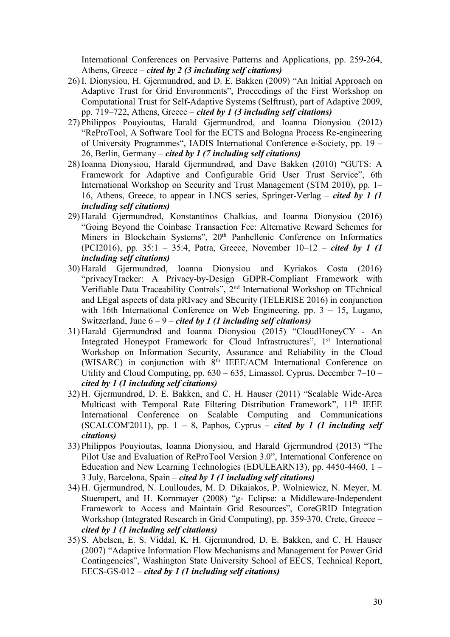International Conferences on Pervasive Patterns and Applications, pp. 259-264, Athens, Greece – *cited by 2 (3 including self citations)*

- 26) I. Dionysiou, H. Gjermundrød, and D. E. Bakken (2009) "An Initial Approach on Adaptive Trust for Grid Environments", Proceedings of the First Workshop on Computational Trust for Self-Adaptive Systems (Selftrust), part of Adaptive 2009, pp. 719–722, Athens, Greece – *cited by 1 (3 including self citations)*
- 27) Philippos Pouyioutas, Harald Gjermundrod, and Ioanna Dionysiou (2012) "ReProTool, A Software Tool for the ECTS and Bologna Process Re-engineering of University Programmes", IADIS International Conference e-Society, pp. 19 – 26, Berlin, Germany – *cited by 1 (7 including self citations)*
- 28) Ioanna Dionysiou, Harald Gjermundrød, and Dave Bakken (2010) "GUTS: A Framework for Adaptive and Configurable Grid User Trust Service", 6th International Workshop on Security and Trust Management (STM 2010), pp. 1– 16, Athens, Greece, to appear in LNCS series, Springer-Verlag – *cited by 1 (1 including self citations)*
- 29) Harald Gjermundrød, Konstantinos Chalkias, and Ioanna Dionysiou (2016) "Going Beyond the Coinbase Transaction Fee: Alternative Reward Schemes for Miners in Blockchain Systems", 20<sup>th</sup> Panhellenic Conference on Informatics (PCI2016), pp. 35:1 – 35:4, Patra, Greece, November 10–12 – *cited by 1 (1 including self citations)*
- 30) Harald Gjermundrød, Ioanna Dionysiou and Kyriakos Costa (2016) "privacyTracker: A Privacy-by-Design GDPR-Compliant Framework with Verifiable Data Traceability Controls", 2nd International Workshop on TEchnical and LEgal aspects of data pRIvacy and SEcurity (TELERISE 2016) in conjunction with 16th International Conference on Web Engineering, pp. 3 – 15, Lugano, Switzerland, June 6 – 9 – *cited by 1 (1 including self citations)*
- 31) Harald Gjermundrød and Ioanna Dionysiou (2015) "CloudHoneyCY An Integrated Honeypot Framework for Cloud Infrastructures", 1<sup>st</sup> International Workshop on Information Security, Assurance and Reliability in the Cloud (WISARC) in conjunction with 8th IEEE/ACM International Conference on Utility and Cloud Computing, pp. 630 – 635, Limassol, Cyprus, December 7–10 – *cited by 1 (1 including self citations)*
- 32) H. Gjermundrød, D. E. Bakken, and C. H. Hauser (2011) "Scalable Wide-Area Multicast with Temporal Rate Filtering Distribution Framework", 11<sup>th</sup> IEEE International Conference on Scalable Computing and Communications (SCALCOM'2011), pp.  $1 - 8$ , Paphos, Cyprus – *cited by 1 (1 including self citations)*
- 33) Philippos Pouyioutas, Ioanna Dionysiou, and Harald Gjermundrod (2013) "The Pilot Use and Evaluation of ReProTool Version 3.0", International Conference on Education and New Learning Technologies (EDULEARN13), pp. 4450-4460, 1 – 3 July, Barcelona, Spain – *cited by 1 (1 including self citations)*
- 34) H. Gjermundrod, N. Loulloudes, M. D. Dikaiakos, P. Wolniewicz, N. Meyer, M. Stuempert, and H. Kornmayer (2008) "g- Eclipse: a Middleware-Independent Framework to Access and Maintain Grid Resources", CoreGRID Integration Workshop (Integrated Research in Grid Computing), pp. 359-370, Crete, Greece – *cited by 1 (1 including self citations)*
- 35) S. Abelsen, E. S. Viddal, K. H. Gjermundrod, D. E. Bakken, and C. H. Hauser (2007) "Adaptive Information Flow Mechanisms and Management for Power Grid Contingencies", Washington State University School of EECS, Technical Report, EECS-GS-012 – *cited by 1 (1 including self citations)*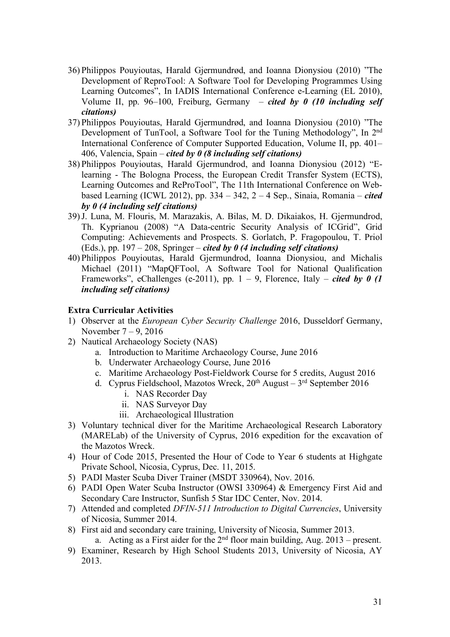- 36) Philippos Pouyioutas, Harald Gjermundrød, and Ioanna Dionysiou (2010) "The Development of ReproTool: A Software Tool for Developing Programmes Using Learning Outcomes", In IADIS International Conference e-Learning (EL 2010), Volume II, pp. 96–100, Freiburg, Germany – *cited by 0 (10 including self citations)*
- 37) Philippos Pouyioutas, Harald Gjermundrød, and Ioanna Dionysiou (2010) "The Development of TunTool, a Software Tool for the Tuning Methodology", In 2nd International Conference of Computer Supported Education, Volume II, pp. 401– 406, Valencia, Spain – *cited by 0 (8 including self citations)*
- 38) Philippos Pouyioutas, Harald Gjermundrod, and Ioanna Dionysiou (2012) "Elearning - The Bologna Process, the European Credit Transfer System (ECTS), Learning Outcomes and ReProTool", The 11th International Conference on Webbased Learning (ICWL 2012), pp. 334 – 342, 2 – 4 Sep., Sinaia, Romania – *cited by 0 (4 including self citations)*
- 39)J. Luna, M. Flouris, M. Marazakis, A. Bilas, M. D. Dikaiakos, H. Gjermundrod, Th. Kyprianou (2008) "A Data-centric Security Analysis of ICGrid", Grid Computing: Achievements and Prospects. S. Gorlatch, P. Fragopoulou, T. Priol (Eds.), pp. 197 – 208, Springer – *cited by 0 (4 including self citations)*
- 40) Philippos Pouyioutas, Harald Gjermundrod, Ioanna Dionysiou, and Michalis Michael (2011) "MapQFTool, A Software Tool for National Qualification Frameworks", eChallenges (e-2011), pp.  $1 - 9$ , Florence, Italy – *cited by 0 (1 including self citations)*

# **Extra Curricular Activities**

- 1) Observer at the *European Cyber Security Challenge* 2016, Dusseldorf Germany, November 7 – 9, 2016
- 2) Nautical Archaeology Society (NAS)
	- a. Introduction to Maritime Archaeology Course, June 2016
	- b. Underwater Archaeology Course, June 2016
	- c. Maritime Archaeology Post-Fieldwork Course for 5 credits, August 2016
	- d. Cyprus Fieldschool, Mazotos Wreck,  $20<sup>th</sup>$  August  $3<sup>rd</sup>$  September 2016
		- i. NAS Recorder Day
		- ii. NAS Surveyor Day
		- iii. Archaeological Illustration
- 3) Voluntary technical diver for the Maritime Archaeological Research Laboratory (MARELab) of the University of Cyprus, 2016 expedition for the excavation of the Mazotos Wreck.
- 4) Hour of Code 2015, Presented the Hour of Code to Year 6 students at Highgate Private School, Nicosia, Cyprus, Dec. 11, 2015.
- 5) PADI Master Scuba Diver Trainer (MSDT 330964), Nov. 2016.
- 6) PADI Open Water Scuba Instructor (OWSI 330964) & Emergency First Aid and Secondary Care Instructor, Sunfish 5 Star IDC Center, Nov. 2014.
- 7) Attended and completed *DFIN-511 Introduction to Digital Currencies*, University of Nicosia, Summer 2014.
- 8) First aid and secondary care training, University of Nicosia, Summer 2013. a. Acting as a First aider for the  $2<sup>nd</sup>$  floor main building, Aug. 2013 – present.
- 9) Examiner, Research by High School Students 2013, University of Nicosia, AY 2013.